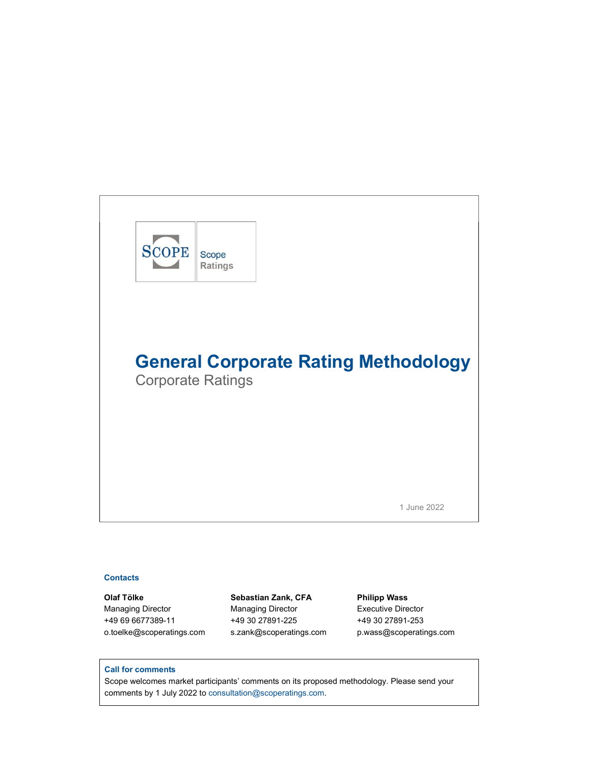

# **Contacts**

Managing Director Managing Director Executive Director +49 69 6677389-11 +49 30 27891-225 +49 30 27891-253

Olaf Tölke Sebastian Zank, CFA Philipp Wass o.toelke@scoperatings.com s.zank@scoperatings.com p.wass@scoperatings.com

## Call for comments

Scope welcomes market participants' comments on its proposed methodology. Please send your comments by 1 July 2022 to consultation@scoperatings.com.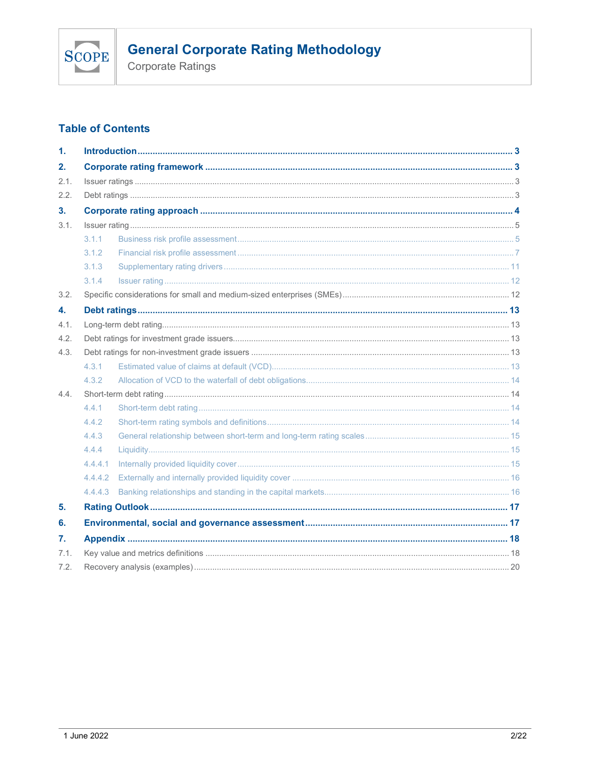

Corporate Ratings

# **Table of Contents**

| 1.   |         |  |
|------|---------|--|
| 2.   |         |  |
| 2.1. |         |  |
| 2.2. |         |  |
| 3.   |         |  |
| 3.1. |         |  |
|      | 3.1.1   |  |
|      | 3.1.2   |  |
|      | 3.1.3   |  |
|      | 3.1.4   |  |
| 3.2. |         |  |
| 4.   |         |  |
| 4.1. |         |  |
| 4.2. |         |  |
| 4.3. |         |  |
|      | 4.3.1   |  |
|      | 4.3.2   |  |
| 4.4. |         |  |
|      | 4.4.1   |  |
|      | 4.4.2   |  |
|      | 4.4.3   |  |
|      | 4.4.4   |  |
|      | 4.4.4.1 |  |
|      | 4.4.4.2 |  |
|      | 4.4.4.3 |  |
| 5.   |         |  |
| 6.   |         |  |
| 7.   |         |  |
| 7.1. |         |  |
| 7.2. |         |  |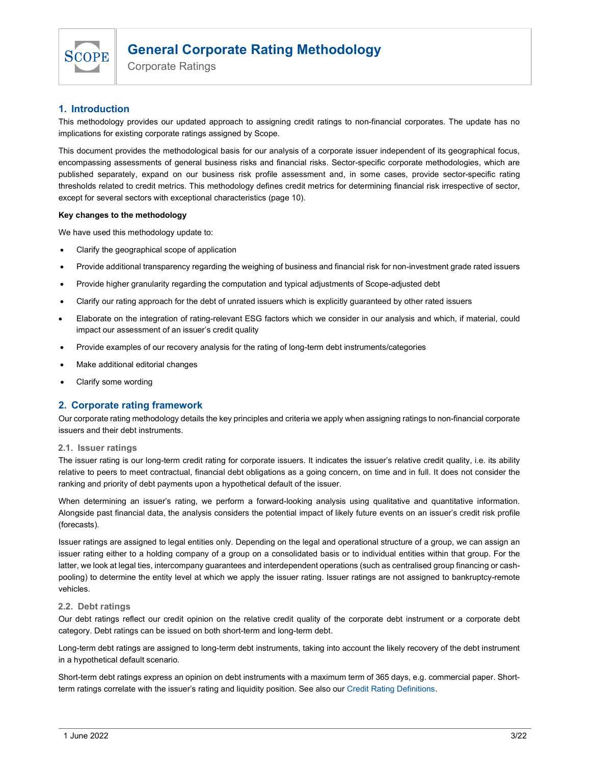

Corporate Ratings

# 1. Introduction

This methodology provides our updated approach to assigning credit ratings to non-financial corporates. The update has no implications for existing corporate ratings assigned by Scope.

This document provides the methodological basis for our analysis of a corporate issuer independent of its geographical focus, encompassing assessments of general business risks and financial risks. Sector-specific corporate methodologies, which are published separately, expand on our business risk profile assessment and, in some cases, provide sector-specific rating thresholds related to credit metrics. This methodology defines credit metrics for determining financial risk irrespective of sector, except for several sectors with exceptional characteristics (page 10).

### Key changes to the methodology

We have used this methodology update to:

- Clarify the geographical scope of application
- Provide additional transparency regarding the weighing of business and financial risk for non-investment grade rated issuers
- Provide higher granularity regarding the computation and typical adjustments of Scope-adjusted debt
- Clarify our rating approach for the debt of unrated issuers which is explicitly guaranteed by other rated issuers
- Elaborate on the integration of rating-relevant ESG factors which we consider in our analysis and which, if material, could impact our assessment of an issuer's credit quality
- Provide examples of our recovery analysis for the rating of long-term debt instruments/categories
- Make additional editorial changes
- Clarify some wording

# 2. Corporate rating framework

Our corporate rating methodology details the key principles and criteria we apply when assigning ratings to non-financial corporate issuers and their debt instruments.

## 2.1. Issuer ratings

The issuer rating is our long-term credit rating for corporate issuers. It indicates the issuer's relative credit quality, i.e. its ability relative to peers to meet contractual, financial debt obligations as a going concern, on time and in full. It does not consider the ranking and priority of debt payments upon a hypothetical default of the issuer.

When determining an issuer's rating, we perform a forward-looking analysis using qualitative and quantitative information. Alongside past financial data, the analysis considers the potential impact of likely future events on an issuer's credit risk profile (forecasts).

Issuer ratings are assigned to legal entities only. Depending on the legal and operational structure of a group, we can assign an issuer rating either to a holding company of a group on a consolidated basis or to individual entities within that group. For the latter, we look at legal ties, intercompany guarantees and interdependent operations (such as centralised group financing or cashpooling) to determine the entity level at which we apply the issuer rating. Issuer ratings are not assigned to bankruptcy-remote vehicles.

## 2.2. Debt ratings

Our debt ratings reflect our credit opinion on the relative credit quality of the corporate debt instrument or a corporate debt category. Debt ratings can be issued on both short-term and long-term debt.

Long-term debt ratings are assigned to long-term debt instruments, taking into account the likely recovery of the debt instrument in a hypothetical default scenario.

Short-term debt ratings express an opinion on debt instruments with a maximum term of 365 days, e.g. commercial paper. Shortterm ratings correlate with the issuer's rating and liquidity position. See also our Credit Rating Definitions.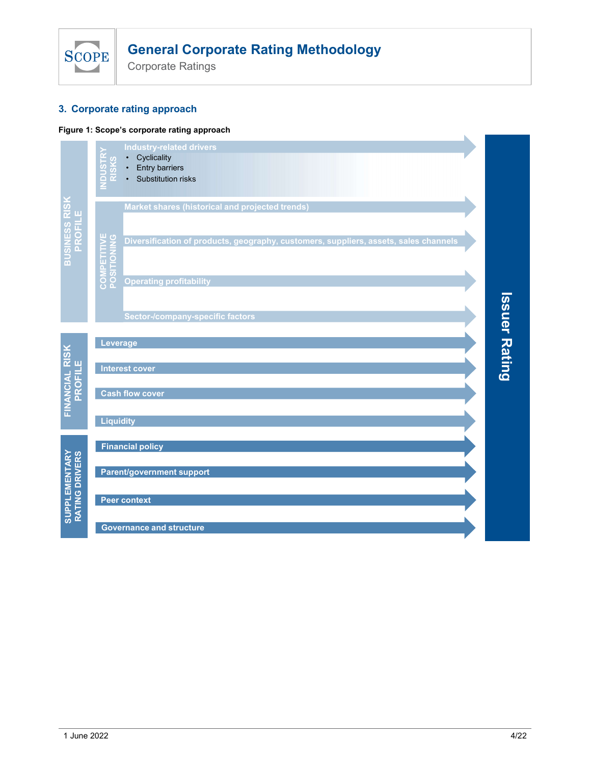

# 3. Corporate rating approach

# Figure 1: Scope's corporate rating approach

| <b>General Corporate Rating Methodology</b><br><b>SCOPE</b><br><b>Corporate Ratings</b><br>3. Corporate rating approach<br>Figure 1: Scope's corporate rating approach<br><b>Industry-related drivers</b><br>Cyclicality<br>Entry barriers<br>Substitution risks<br>ō<br>BUSINESS RISK<br>PROFILE<br>Market shares (historical and projected trends) |                |
|------------------------------------------------------------------------------------------------------------------------------------------------------------------------------------------------------------------------------------------------------------------------------------------------------------------------------------------------------|----------------|
|                                                                                                                                                                                                                                                                                                                                                      |                |
|                                                                                                                                                                                                                                                                                                                                                      |                |
|                                                                                                                                                                                                                                                                                                                                                      |                |
|                                                                                                                                                                                                                                                                                                                                                      |                |
|                                                                                                                                                                                                                                                                                                                                                      |                |
| <b>ETITIVE</b><br><b>CONING</b><br>Diversification of products, geography, customers, suppliers, assets, sales channels                                                                                                                                                                                                                              |                |
| COMPI<br>POSITI<br><b>Operating profitability</b>                                                                                                                                                                                                                                                                                                    |                |
| <b>Sector-/company-specific factors</b>                                                                                                                                                                                                                                                                                                              | <b>Issue</b>   |
| Leverage                                                                                                                                                                                                                                                                                                                                             |                |
| FINANCIAL RISK<br>PROFILE<br><b>Interest cover</b>                                                                                                                                                                                                                                                                                                   | <b>Preding</b> |
| <b>Cash flow cover</b>                                                                                                                                                                                                                                                                                                                               |                |
| <b>Liquidity</b>                                                                                                                                                                                                                                                                                                                                     |                |
| <b>Financial policy</b>                                                                                                                                                                                                                                                                                                                              |                |
| Parent/government support                                                                                                                                                                                                                                                                                                                            |                |
| SUPPLEMENTARY<br>RATING DRIVERS<br><b>Peer context</b>                                                                                                                                                                                                                                                                                               |                |
| <b>Governance and structure</b>                                                                                                                                                                                                                                                                                                                      |                |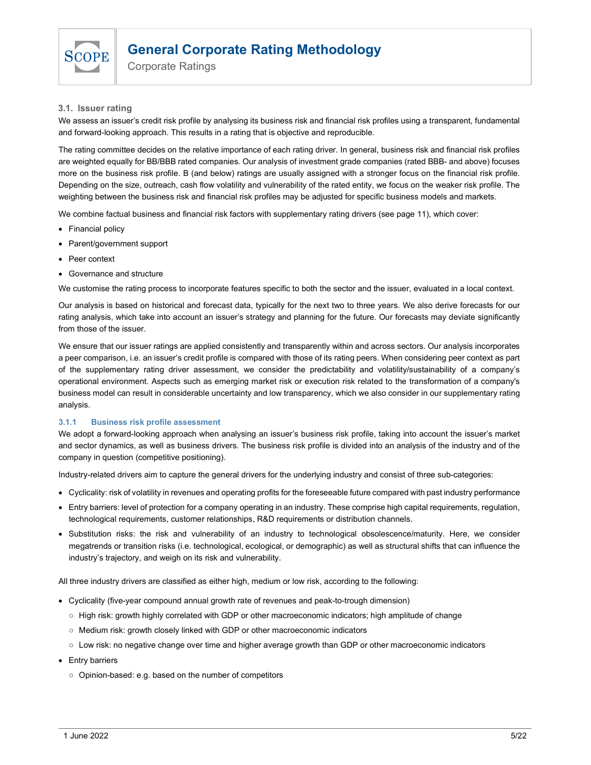

Corporate Ratings

# 3.1. Issuer rating

We assess an issuer's credit risk profile by analysing its business risk and financial risk profiles using a transparent, fundamental and forward-looking approach. This results in a rating that is objective and reproducible.

The rating committee decides on the relative importance of each rating driver. In general, business risk and financial risk profiles are weighted equally for BB/BBB rated companies. Our analysis of investment grade companies (rated BBB- and above) focuses more on the business risk profile. B (and below) ratings are usually assigned with a stronger focus on the financial risk profile. Depending on the size, outreach, cash flow volatility and vulnerability of the rated entity, we focus on the weaker risk profile. The weighting between the business risk and financial risk profiles may be adjusted for specific business models and markets.

We combine factual business and financial risk factors with supplementary rating drivers (see page 11), which cover:

- Financial policy
- Parent/government support
- Peer context
- Governance and structure

We customise the rating process to incorporate features specific to both the sector and the issuer, evaluated in a local context.

Our analysis is based on historical and forecast data, typically for the next two to three years. We also derive forecasts for our rating analysis, which take into account an issuer's strategy and planning for the future. Our forecasts may deviate significantly from those of the issuer.

We ensure that our issuer ratings are applied consistently and transparently within and across sectors. Our analysis incorporates a peer comparison, i.e. an issuer's credit profile is compared with those of its rating peers. When considering peer context as part of the supplementary rating driver assessment, we consider the predictability and volatility/sustainability of a company's operational environment. Aspects such as emerging market risk or execution risk related to the transformation of a company's business model can result in considerable uncertainty and low transparency, which we also consider in our supplementary rating analysis.

#### 3.1.1 Business risk profile assessment

We adopt a forward-looking approach when analysing an issuer's business risk profile, taking into account the issuer's market and sector dynamics, as well as business drivers. The business risk profile is divided into an analysis of the industry and of the company in question (competitive positioning).

Industry-related drivers aim to capture the general drivers for the underlying industry and consist of three sub-categories:

- Cyclicality: risk of volatility in revenues and operating profits for the foreseeable future compared with past industry performance
- Entry barriers: level of protection for a company operating in an industry. These comprise high capital requirements, regulation, technological requirements, customer relationships, R&D requirements or distribution channels.
- Substitution risks: the risk and vulnerability of an industry to technological obsolescence/maturity. Here, we consider megatrends or transition risks (i.e. technological, ecological, or demographic) as well as structural shifts that can influence the industry's trajectory, and weigh on its risk and vulnerability.

All three industry drivers are classified as either high, medium or low risk, according to the following:

- Cyclicality (five-year compound annual growth rate of revenues and peak-to-trough dimension)
	- High risk: growth highly correlated with GDP or other macroeconomic indicators; high amplitude of change
	- Medium risk: growth closely linked with GDP or other macroeconomic indicators
	- Low risk: no negative change over time and higher average growth than GDP or other macroeconomic indicators
- Entry barriers
	- Opinion-based: e.g. based on the number of competitors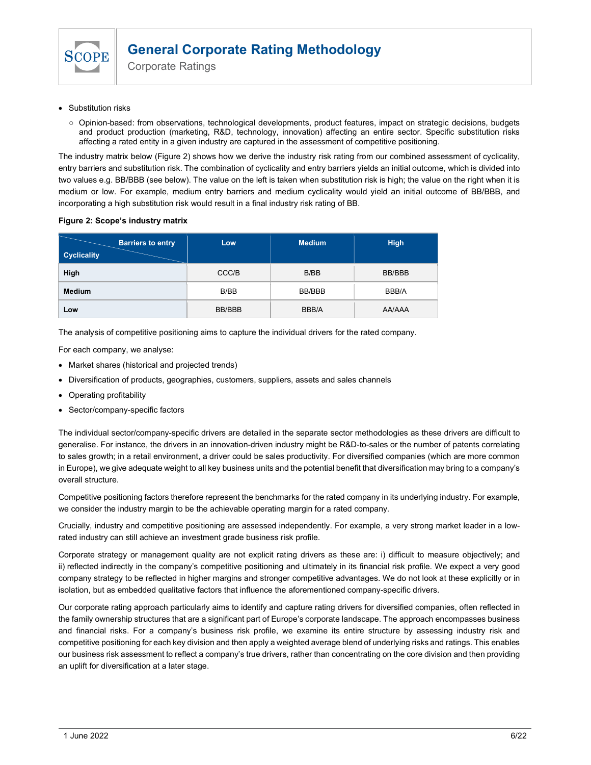

Corporate Ratings

- Substitution risks
	- Opinion-based: from observations, technological developments, product features, impact on strategic decisions, budgets and product production (marketing, R&D, technology, innovation) affecting an entire sector. Specific substitution risks affecting a rated entity in a given industry are captured in the assessment of competitive positioning.

The industry matrix below (Figure 2) shows how we derive the industry risk rating from our combined assessment of cyclicality, entry barriers and substitution risk. The combination of cyclicality and entry barriers yields an initial outcome, which is divided into two values e.g. BB/BBB (see below). The value on the left is taken when substitution risk is high; the value on the right when it is medium or low. For example, medium entry barriers and medium cyclicality would yield an initial outcome of BB/BBB, and incorporating a high substitution risk would result in a final industry risk rating of BB.

### Figure 2: Scope's industry matrix

| <b>Barriers to entry</b><br><b>Cyclicality</b> | Low.   | <b>Medium</b> | <b>High</b>   |
|------------------------------------------------|--------|---------------|---------------|
| High                                           | CCC/B  | B/BB          | BB/BBB        |
| <b>Medium</b>                                  | B/BB   | <b>BB/BBB</b> | BBB/A         |
| Low                                            | BB/BBB | BBB/A         | <b>AA/AAA</b> |

The analysis of competitive positioning aims to capture the individual drivers for the rated company.

For each company, we analyse:

- Market shares (historical and projected trends)
- Diversification of products, geographies, customers, suppliers, assets and sales channels
- Operating profitability
- Sector/company-specific factors

The individual sector/company-specific drivers are detailed in the separate sector methodologies as these drivers are difficult to generalise. For instance, the drivers in an innovation-driven industry might be R&D-to-sales or the number of patents correlating to sales growth; in a retail environment, a driver could be sales productivity. For diversified companies (which are more common in Europe), we give adequate weight to all key business units and the potential benefit that diversification may bring to a company's overall structure.

Competitive positioning factors therefore represent the benchmarks for the rated company in its underlying industry. For example, we consider the industry margin to be the achievable operating margin for a rated company.

Crucially, industry and competitive positioning are assessed independently. For example, a very strong market leader in a lowrated industry can still achieve an investment grade business risk profile.

Corporate strategy or management quality are not explicit rating drivers as these are: i) difficult to measure objectively; and ii) reflected indirectly in the company's competitive positioning and ultimately in its financial risk profile. We expect a very good company strategy to be reflected in higher margins and stronger competitive advantages. We do not look at these explicitly or in isolation, but as embedded qualitative factors that influence the aforementioned company-specific drivers.

Our corporate rating approach particularly aims to identify and capture rating drivers for diversified companies, often reflected in the family ownership structures that are a significant part of Europe's corporate landscape. The approach encompasses business and financial risks. For a company's business risk profile, we examine its entire structure by assessing industry risk and competitive positioning for each key division and then apply a weighted average blend of underlying risks and ratings. This enables our business risk assessment to reflect a company's true drivers, rather than concentrating on the core division and then providing an uplift for diversification at a later stage.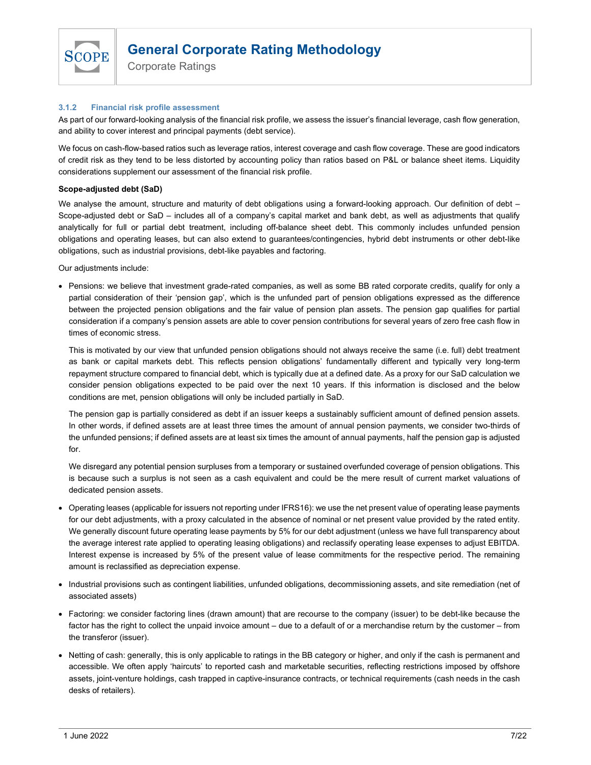

Corporate Ratings

## 3.1.2 Financial risk profile assessment

As part of our forward-looking analysis of the financial risk profile, we assess the issuer's financial leverage, cash flow generation, and ability to cover interest and principal payments (debt service).

We focus on cash-flow-based ratios such as leverage ratios, interest coverage and cash flow coverage. These are good indicators of credit risk as they tend to be less distorted by accounting policy than ratios based on P&L or balance sheet items. Liquidity considerations supplement our assessment of the financial risk profile.

## Scope-adjusted debt (SaD)

We analyse the amount, structure and maturity of debt obligations using a forward-looking approach. Our definition of debt – Scope-adjusted debt or SaD – includes all of a company's capital market and bank debt, as well as adjustments that qualify analytically for full or partial debt treatment, including off-balance sheet debt. This commonly includes unfunded pension obligations and operating leases, but can also extend to guarantees/contingencies, hybrid debt instruments or other debt-like obligations, such as industrial provisions, debt-like payables and factoring.

Our adjustments include:

 Pensions: we believe that investment grade-rated companies, as well as some BB rated corporate credits, qualify for only a partial consideration of their 'pension gap', which is the unfunded part of pension obligations expressed as the difference between the projected pension obligations and the fair value of pension plan assets. The pension gap qualifies for partial consideration if a company's pension assets are able to cover pension contributions for several years of zero free cash flow in times of economic stress.

This is motivated by our view that unfunded pension obligations should not always receive the same (i.e. full) debt treatment as bank or capital markets debt. This reflects pension obligations' fundamentally different and typically very long-term repayment structure compared to financial debt, which is typically due at a defined date. As a proxy for our SaD calculation we consider pension obligations expected to be paid over the next 10 years. If this information is disclosed and the below conditions are met, pension obligations will only be included partially in SaD.

The pension gap is partially considered as debt if an issuer keeps a sustainably sufficient amount of defined pension assets. In other words, if defined assets are at least three times the amount of annual pension payments, we consider two-thirds of the unfunded pensions; if defined assets are at least six times the amount of annual payments, half the pension gap is adjusted for.

We disregard any potential pension surpluses from a temporary or sustained overfunded coverage of pension obligations. This is because such a surplus is not seen as a cash equivalent and could be the mere result of current market valuations of dedicated pension assets.

- Operating leases (applicable for issuers not reporting under IFRS16): we use the net present value of operating lease payments for our debt adjustments, with a proxy calculated in the absence of nominal or net present value provided by the rated entity. We generally discount future operating lease payments by 5% for our debt adjustment (unless we have full transparency about the average interest rate applied to operating leasing obligations) and reclassify operating lease expenses to adjust EBITDA. Interest expense is increased by 5% of the present value of lease commitments for the respective period. The remaining amount is reclassified as depreciation expense.
- Industrial provisions such as contingent liabilities, unfunded obligations, decommissioning assets, and site remediation (net of associated assets)
- Factoring: we consider factoring lines (drawn amount) that are recourse to the company (issuer) to be debt-like because the factor has the right to collect the unpaid invoice amount – due to a default of or a merchandise return by the customer – from the transferor (issuer).
- Netting of cash: generally, this is only applicable to ratings in the BB category or higher, and only if the cash is permanent and accessible. We often apply 'haircuts' to reported cash and marketable securities, reflecting restrictions imposed by offshore assets, joint-venture holdings, cash trapped in captive-insurance contracts, or technical requirements (cash needs in the cash desks of retailers).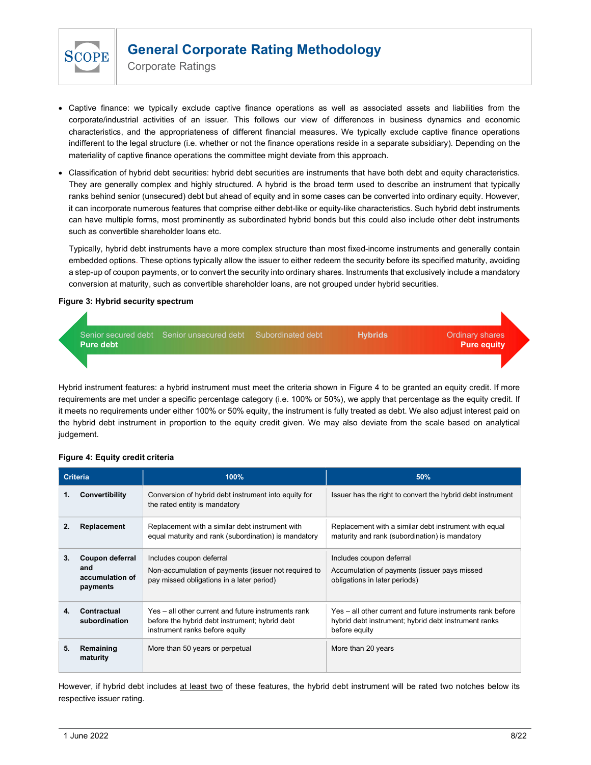

Corporate Ratings

- Captive finance: we typically exclude captive finance operations as well as associated assets and liabilities from the corporate/industrial activities of an issuer. This follows our view of differences in business dynamics and economic characteristics, and the appropriateness of different financial measures. We typically exclude captive finance operations indifferent to the legal structure (i.e. whether or not the finance operations reside in a separate subsidiary). Depending on the materiality of captive finance operations the committee might deviate from this approach.
- Classification of hybrid debt securities: hybrid debt securities are instruments that have both debt and equity characteristics. They are generally complex and highly structured. A hybrid is the broad term used to describe an instrument that typically ranks behind senior (unsecured) debt but ahead of equity and in some cases can be converted into ordinary equity. However, it can incorporate numerous features that comprise either debt-like or equity-like characteristics. Such hybrid debt instruments can have multiple forms, most prominently as subordinated hybrid bonds but this could also include other debt instruments such as convertible shareholder loans etc.

Typically, hybrid debt instruments have a more complex structure than most fixed-income instruments and generally contain embedded options. These options typically allow the issuer to either redeem the security before its specified maturity, avoiding a step-up of coupon payments, or to convert the security into ordinary shares. Instruments that exclusively include a mandatory conversion at maturity, such as convertible shareholder loans, are not grouped under hybrid securities.

## Figure 3: Hybrid security spectrum



Hybrid instrument features: a hybrid instrument must meet the criteria shown in Figure 4 to be granted an equity credit. If more requirements are met under a specific percentage category (i.e. 100% or 50%), we apply that percentage as the equity credit. If it meets no requirements under either 100% or 50% equity, the instrument is fully treated as debt. We also adjust interest paid on the hybrid debt instrument in proportion to the equity credit given. We may also deviate from the scale based on analytical judgement.

## Figure 4: Equity credit criteria

|    | <b>Criteria</b>                                       | 100%                                                                                                                                    | 50%                                                                                                                                 |
|----|-------------------------------------------------------|-----------------------------------------------------------------------------------------------------------------------------------------|-------------------------------------------------------------------------------------------------------------------------------------|
| 1. | Convertibility                                        | Conversion of hybrid debt instrument into equity for<br>the rated entity is mandatory                                                   | Issuer has the right to convert the hybrid debt instrument                                                                          |
| 2. | Replacement                                           | Replacement with a similar debt instrument with<br>equal maturity and rank (subordination) is mandatory                                 | Replacement with a similar debt instrument with equal<br>maturity and rank (subordination) is mandatory                             |
| 3. | Coupon deferral<br>and<br>accumulation of<br>payments | Includes coupon deferral<br>Non-accumulation of payments (issuer not required to<br>pay missed obligations in a later period)           | Includes coupon deferral<br>Accumulation of payments (issuer pays missed<br>obligations in later periods)                           |
| 4. | Contractual<br>subordination                          | Yes – all other current and future instruments rank<br>before the hybrid debt instrument; hybrid debt<br>instrument ranks before equity | Yes – all other current and future instruments rank before<br>hybrid debt instrument; hybrid debt instrument ranks<br>before equity |
| 5. | Remaining<br>maturity                                 | More than 50 years or perpetual                                                                                                         | More than 20 years                                                                                                                  |

However, if hybrid debt includes at least two of these features, the hybrid debt instrument will be rated two notches below its respective issuer rating.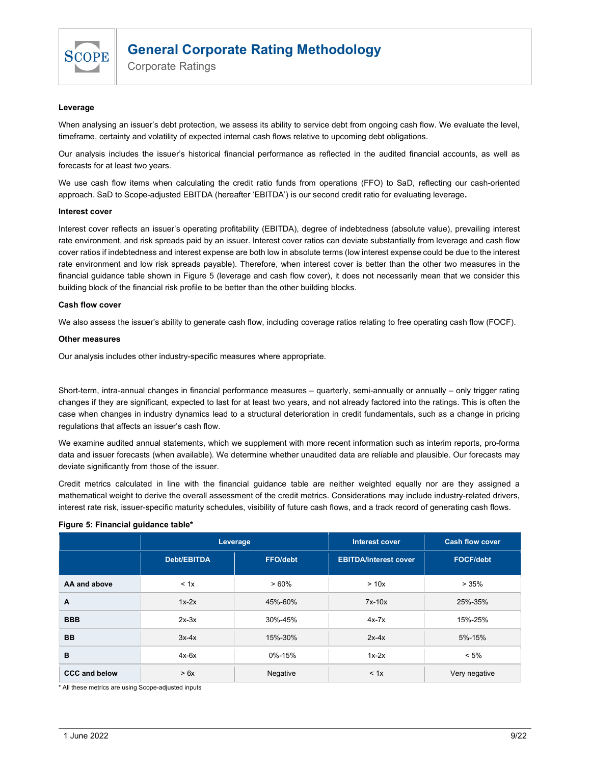

Corporate Ratings

#### Leverage

When analysing an issuer's debt protection, we assess its ability to service debt from ongoing cash flow. We evaluate the level, timeframe, certainty and volatility of expected internal cash flows relative to upcoming debt obligations.

Our analysis includes the issuer's historical financial performance as reflected in the audited financial accounts, as well as forecasts for at least two years.

We use cash flow items when calculating the credit ratio funds from operations (FFO) to SaD, reflecting our cash-oriented approach. SaD to Scope-adjusted EBITDA (hereafter 'EBITDA') is our second credit ratio for evaluating leverage.

#### Interest cover

Interest cover reflects an issuer's operating profitability (EBITDA), degree of indebtedness (absolute value), prevailing interest rate environment, and risk spreads paid by an issuer. Interest cover ratios can deviate substantially from leverage and cash flow cover ratios if indebtedness and interest expense are both low in absolute terms (low interest expense could be due to the interest rate environment and low risk spreads payable). Therefore, when interest cover is better than the other two measures in the financial guidance table shown in Figure 5 (leverage and cash flow cover), it does not necessarily mean that we consider this building block of the financial risk profile to be better than the other building blocks.

#### Cash flow cover

We also assess the issuer's ability to generate cash flow, including coverage ratios relating to free operating cash flow (FOCF).

#### Other measures

Our analysis includes other industry-specific measures where appropriate.

Short-term, intra-annual changes in financial performance measures – quarterly, semi-annually or annually – only trigger rating changes if they are significant, expected to last for at least two years, and not already factored into the ratings. This is often the case when changes in industry dynamics lead to a structural deterioration in credit fundamentals, such as a change in pricing regulations that affects an issuer's cash flow.

We examine audited annual statements, which we supplement with more recent information such as interim reports, pro-forma data and issuer forecasts (when available). We determine whether unaudited data are reliable and plausible. Our forecasts may deviate significantly from those of the issuer.

Credit metrics calculated in line with the financial guidance table are neither weighted equally nor are they assigned a mathematical weight to derive the overall assessment of the credit metrics. Considerations may include industry-related drivers, interest rate risk, issuer-specific maturity schedules, visibility of future cash flows, and a track record of generating cash flows.

#### Figure 5: Financial guidance table\*

|                      | Leverage    |                 | <b>Interest cover</b>        | <b>Cash flow cover</b> |
|----------------------|-------------|-----------------|------------------------------|------------------------|
|                      | Debt/EBITDA | <b>FFO/debt</b> | <b>EBITDA/interest cover</b> | <b>FOCF/debt</b>       |
| AA and above         | < 1x        | >60%            | > 10x                        | >35%                   |
| A                    | $1x-2x$     | 45%-60%         | $7x-10x$                     | 25%-35%                |
| <b>BBB</b>           | $2x-3x$     | 30%-45%         | $4x-7x$                      | 15%-25%                |
| <b>BB</b>            | $3x-4x$     | 15%-30%         | $2x-4x$                      | 5%-15%                 |
| B                    | $4x-6x$     | 0%-15%          | $1x-2x$                      | $< 5\%$                |
| <b>CCC and below</b> | > 6x        | Negative        | < 1x                         | Very negative          |

\* All these metrics are using Scope-adjusted inputs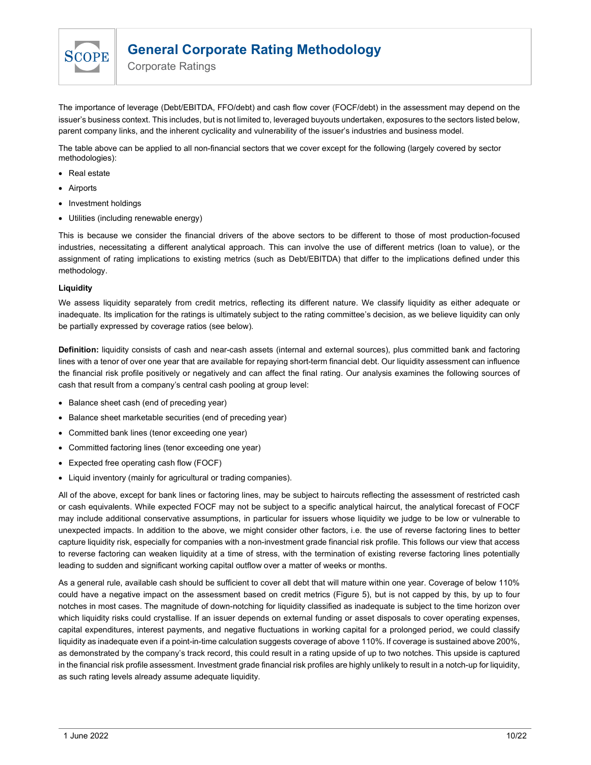

Corporate Ratings

The importance of leverage (Debt/EBITDA, FFO/debt) and cash flow cover (FOCF/debt) in the assessment may depend on the issuer's business context. This includes, but is not limited to, leveraged buyouts undertaken, exposures to the sectors listed below, parent company links, and the inherent cyclicality and vulnerability of the issuer's industries and business model.

The table above can be applied to all non-financial sectors that we cover except for the following (largely covered by sector methodologies):

- Real estate
- Airports
- Investment holdings
- Utilities (including renewable energy)

This is because we consider the financial drivers of the above sectors to be different to those of most production-focused industries, necessitating a different analytical approach. This can involve the use of different metrics (loan to value), or the assignment of rating implications to existing metrics (such as Debt/EBITDA) that differ to the implications defined under this methodology.

### Liquidity

We assess liquidity separately from credit metrics, reflecting its different nature. We classify liquidity as either adequate or inadequate. Its implication for the ratings is ultimately subject to the rating committee's decision, as we believe liquidity can only be partially expressed by coverage ratios (see below).

Definition: liquidity consists of cash and near-cash assets (internal and external sources), plus committed bank and factoring lines with a tenor of over one year that are available for repaying short-term financial debt. Our liquidity assessment can influence the financial risk profile positively or negatively and can affect the final rating. Our analysis examines the following sources of cash that result from a company's central cash pooling at group level:

- Balance sheet cash (end of preceding year)
- Balance sheet marketable securities (end of preceding year)
- Committed bank lines (tenor exceeding one year)
- Committed factoring lines (tenor exceeding one year)
- Expected free operating cash flow (FOCF)
- Liquid inventory (mainly for agricultural or trading companies).

All of the above, except for bank lines or factoring lines, may be subject to haircuts reflecting the assessment of restricted cash or cash equivalents. While expected FOCF may not be subject to a specific analytical haircut, the analytical forecast of FOCF may include additional conservative assumptions, in particular for issuers whose liquidity we judge to be low or vulnerable to unexpected impacts. In addition to the above, we might consider other factors, i.e. the use of reverse factoring lines to better capture liquidity risk, especially for companies with a non-investment grade financial risk profile. This follows our view that access to reverse factoring can weaken liquidity at a time of stress, with the termination of existing reverse factoring lines potentially leading to sudden and significant working capital outflow over a matter of weeks or months.

As a general rule, available cash should be sufficient to cover all debt that will mature within one year. Coverage of below 110% could have a negative impact on the assessment based on credit metrics (Figure 5), but is not capped by this, by up to four notches in most cases. The magnitude of down-notching for liquidity classified as inadequate is subject to the time horizon over which liquidity risks could crystallise. If an issuer depends on external funding or asset disposals to cover operating expenses, capital expenditures, interest payments, and negative fluctuations in working capital for a prolonged period, we could classify liquidity as inadequate even if a point-in-time calculation suggests coverage of above 110%. If coverage is sustained above 200%, as demonstrated by the company's track record, this could result in a rating upside of up to two notches. This upside is captured in the financial risk profile assessment. Investment grade financial risk profiles are highly unlikely to result in a notch-up for liquidity, as such rating levels already assume adequate liquidity.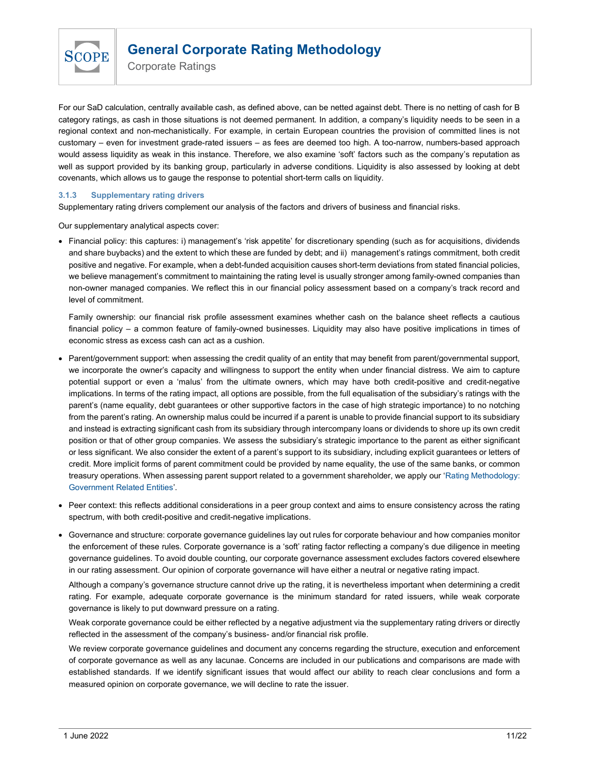

Corporate Ratings

For our SaD calculation, centrally available cash, as defined above, can be netted against debt. There is no netting of cash for B category ratings, as cash in those situations is not deemed permanent. In addition, a company's liquidity needs to be seen in a regional context and non-mechanistically. For example, in certain European countries the provision of committed lines is not customary – even for investment grade-rated issuers – as fees are deemed too high. A too-narrow, numbers-based approach would assess liquidity as weak in this instance. Therefore, we also examine 'soft' factors such as the company's reputation as well as support provided by its banking group, particularly in adverse conditions. Liquidity is also assessed by looking at debt covenants, which allows us to gauge the response to potential short-term calls on liquidity.

## 3.1.3 Supplementary rating drivers

Supplementary rating drivers complement our analysis of the factors and drivers of business and financial risks.

Our supplementary analytical aspects cover:

 Financial policy: this captures: i) management's 'risk appetite' for discretionary spending (such as for acquisitions, dividends and share buybacks) and the extent to which these are funded by debt; and ii) management's ratings commitment, both credit positive and negative. For example, when a debt-funded acquisition causes short-term deviations from stated financial policies, we believe management's commitment to maintaining the rating level is usually stronger among family-owned companies than non-owner managed companies. We reflect this in our financial policy assessment based on a company's track record and level of commitment.

Family ownership: our financial risk profile assessment examines whether cash on the balance sheet reflects a cautious financial policy – a common feature of family-owned businesses. Liquidity may also have positive implications in times of economic stress as excess cash can act as a cushion.

- Parent/government support: when assessing the credit quality of an entity that may benefit from parent/governmental support, we incorporate the owner's capacity and willingness to support the entity when under financial distress. We aim to capture potential support or even a 'malus' from the ultimate owners, which may have both credit-positive and credit-negative implications. In terms of the rating impact, all options are possible, from the full equalisation of the subsidiary's ratings with the parent's (name equality, debt guarantees or other supportive factors in the case of high strategic importance) to no notching from the parent's rating. An ownership malus could be incurred if a parent is unable to provide financial support to its subsidiary and instead is extracting significant cash from its subsidiary through intercompany loans or dividends to shore up its own credit position or that of other group companies. We assess the subsidiary's strategic importance to the parent as either significant or less significant. We also consider the extent of a parent's support to its subsidiary, including explicit guarantees or letters of credit. More implicit forms of parent commitment could be provided by name equality, the use of the same banks, or common treasury operations. When assessing parent support related to a government shareholder, we apply our 'Rating Methodology: Government Related Entities'.
- Peer context: this reflects additional considerations in a peer group context and aims to ensure consistency across the rating spectrum, with both credit-positive and credit-negative implications.
- Governance and structure: corporate governance guidelines lay out rules for corporate behaviour and how companies monitor the enforcement of these rules. Corporate governance is a 'soft' rating factor reflecting a company's due diligence in meeting governance guidelines. To avoid double counting, our corporate governance assessment excludes factors covered elsewhere in our rating assessment. Our opinion of corporate governance will have either a neutral or negative rating impact.

Although a company's governance structure cannot drive up the rating, it is nevertheless important when determining a credit rating. For example, adequate corporate governance is the minimum standard for rated issuers, while weak corporate governance is likely to put downward pressure on a rating.

Weak corporate governance could be either reflected by a negative adjustment via the supplementary rating drivers or directly reflected in the assessment of the company's business- and/or financial risk profile.

We review corporate governance guidelines and document any concerns regarding the structure, execution and enforcement of corporate governance as well as any lacunae. Concerns are included in our publications and comparisons are made with established standards. If we identify significant issues that would affect our ability to reach clear conclusions and form a measured opinion on corporate governance, we will decline to rate the issuer.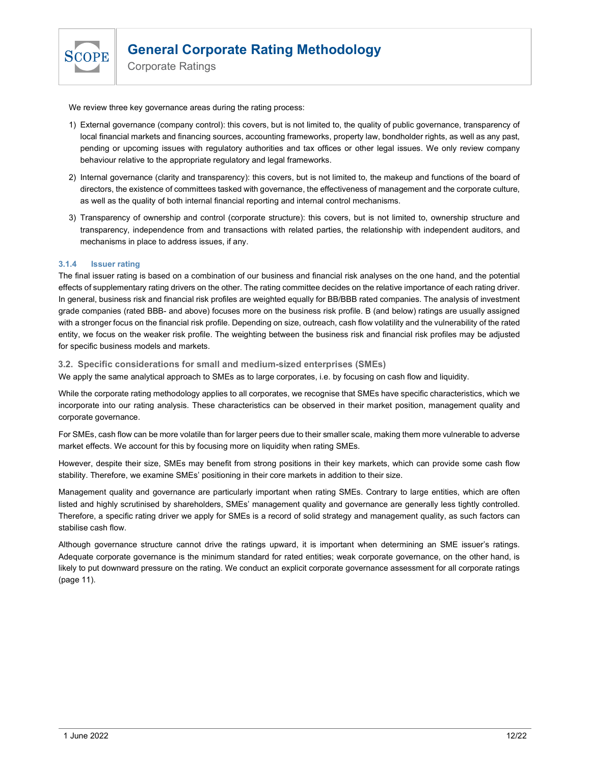

Corporate Ratings

We review three key governance areas during the rating process:

- 1) External governance (company control): this covers, but is not limited to, the quality of public governance, transparency of local financial markets and financing sources, accounting frameworks, property law, bondholder rights, as well as any past, pending or upcoming issues with regulatory authorities and tax offices or other legal issues. We only review company behaviour relative to the appropriate regulatory and legal frameworks.
- 2) Internal governance (clarity and transparency): this covers, but is not limited to, the makeup and functions of the board of directors, the existence of committees tasked with governance, the effectiveness of management and the corporate culture, as well as the quality of both internal financial reporting and internal control mechanisms.
- 3) Transparency of ownership and control (corporate structure): this covers, but is not limited to, ownership structure and transparency, independence from and transactions with related parties, the relationship with independent auditors, and mechanisms in place to address issues, if any.

# 3.1.4 Issuer rating

The final issuer rating is based on a combination of our business and financial risk analyses on the one hand, and the potential effects of supplementary rating drivers on the other. The rating committee decides on the relative importance of each rating driver. In general, business risk and financial risk profiles are weighted equally for BB/BBB rated companies. The analysis of investment grade companies (rated BBB- and above) focuses more on the business risk profile. B (and below) ratings are usually assigned with a stronger focus on the financial risk profile. Depending on size, outreach, cash flow volatility and the vulnerability of the rated entity, we focus on the weaker risk profile. The weighting between the business risk and financial risk profiles may be adjusted for specific business models and markets.

## 3.2. Specific considerations for small and medium-sized enterprises (SMEs)

We apply the same analytical approach to SMEs as to large corporates, i.e. by focusing on cash flow and liquidity.

While the corporate rating methodology applies to all corporates, we recognise that SMEs have specific characteristics, which we incorporate into our rating analysis. These characteristics can be observed in their market position, management quality and corporate governance.

For SMEs, cash flow can be more volatile than for larger peers due to their smaller scale, making them more vulnerable to adverse market effects. We account for this by focusing more on liquidity when rating SMEs.

However, despite their size, SMEs may benefit from strong positions in their key markets, which can provide some cash flow stability. Therefore, we examine SMEs' positioning in their core markets in addition to their size.

Management quality and governance are particularly important when rating SMEs. Contrary to large entities, which are often listed and highly scrutinised by shareholders, SMEs' management quality and governance are generally less tightly controlled. Therefore, a specific rating driver we apply for SMEs is a record of solid strategy and management quality, as such factors can stabilise cash flow.

Although governance structure cannot drive the ratings upward, it is important when determining an SME issuer's ratings. Adequate corporate governance is the minimum standard for rated entities; weak corporate governance, on the other hand, is likely to put downward pressure on the rating. We conduct an explicit corporate governance assessment for all corporate ratings (page 11).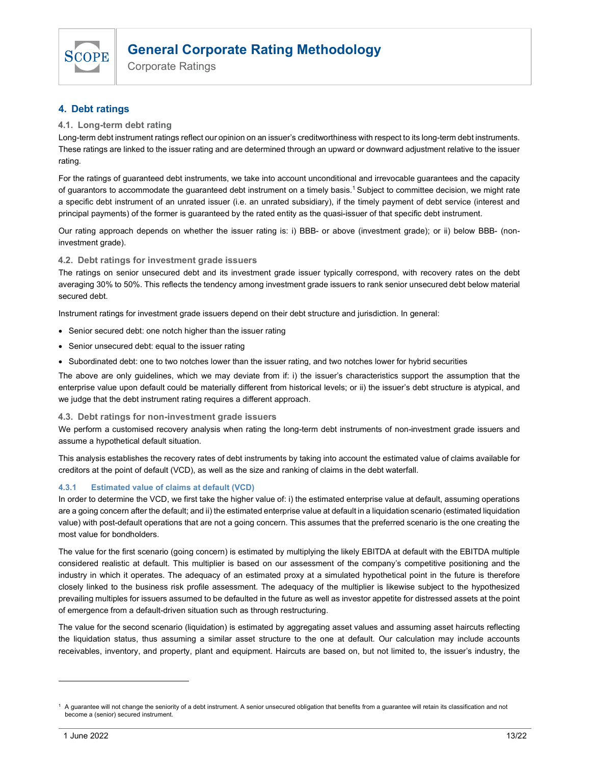

Corporate Ratings

# 4. Debt ratings

# 4.1. Long-term debt rating

Long-term debt instrument ratings reflect our opinion on an issuer's creditworthiness with respect to its long-term debt instruments. These ratings are linked to the issuer rating and are determined through an upward or downward adjustment relative to the issuer rating.

For the ratings of guaranteed debt instruments, we take into account unconditional and irrevocable guarantees and the capacity of guarantors to accommodate the guaranteed debt instrument on a timely basis.<sup>1</sup> Subject to committee decision, we might rate a specific debt instrument of an unrated issuer (i.e. an unrated subsidiary), if the timely payment of debt service (interest and principal payments) of the former is guaranteed by the rated entity as the quasi-issuer of that specific debt instrument.

Our rating approach depends on whether the issuer rating is: i) BBB- or above (investment grade); or ii) below BBB- (noninvestment grade).

## 4.2. Debt ratings for investment grade issuers

The ratings on senior unsecured debt and its investment grade issuer typically correspond, with recovery rates on the debt averaging 30% to 50%. This reflects the tendency among investment grade issuers to rank senior unsecured debt below material secured debt.

Instrument ratings for investment grade issuers depend on their debt structure and jurisdiction. In general:

- Senior secured debt: one notch higher than the issuer rating
- Senior unsecured debt: equal to the issuer rating
- Subordinated debt: one to two notches lower than the issuer rating, and two notches lower for hybrid securities

The above are only guidelines, which we may deviate from if: i) the issuer's characteristics support the assumption that the enterprise value upon default could be materially different from historical levels; or ii) the issuer's debt structure is atypical, and we judge that the debt instrument rating requires a different approach.

## 4.3. Debt ratings for non-investment grade issuers

We perform a customised recovery analysis when rating the long-term debt instruments of non-investment grade issuers and assume a hypothetical default situation.

This analysis establishes the recovery rates of debt instruments by taking into account the estimated value of claims available for creditors at the point of default (VCD), as well as the size and ranking of claims in the debt waterfall.

## 4.3.1 Estimated value of claims at default (VCD)

In order to determine the VCD, we first take the higher value of: i) the estimated enterprise value at default, assuming operations are a going concern after the default; and ii) the estimated enterprise value at default in a liquidation scenario (estimated liquidation value) with post-default operations that are not a going concern. This assumes that the preferred scenario is the one creating the most value for bondholders.

The value for the first scenario (going concern) is estimated by multiplying the likely EBITDA at default with the EBITDA multiple considered realistic at default. This multiplier is based on our assessment of the company's competitive positioning and the industry in which it operates. The adequacy of an estimated proxy at a simulated hypothetical point in the future is therefore closely linked to the business risk profile assessment. The adequacy of the multiplier is likewise subject to the hypothesized prevailing multiples for issuers assumed to be defaulted in the future as well as investor appetite for distressed assets at the point of emergence from a default-driven situation such as through restructuring.

The value for the second scenario (liquidation) is estimated by aggregating asset values and assuming asset haircuts reflecting the liquidation status, thus assuming a similar asset structure to the one at default. Our calculation may include accounts receivables, inventory, and property, plant and equipment. Haircuts are based on, but not limited to, the issuer's industry, the

<sup>1</sup> A guarantee will not change the seniority of a debt instrument. A senior unsecured obligation that benefits from a guarantee will retain its classification and not become a (senior) secured instrument.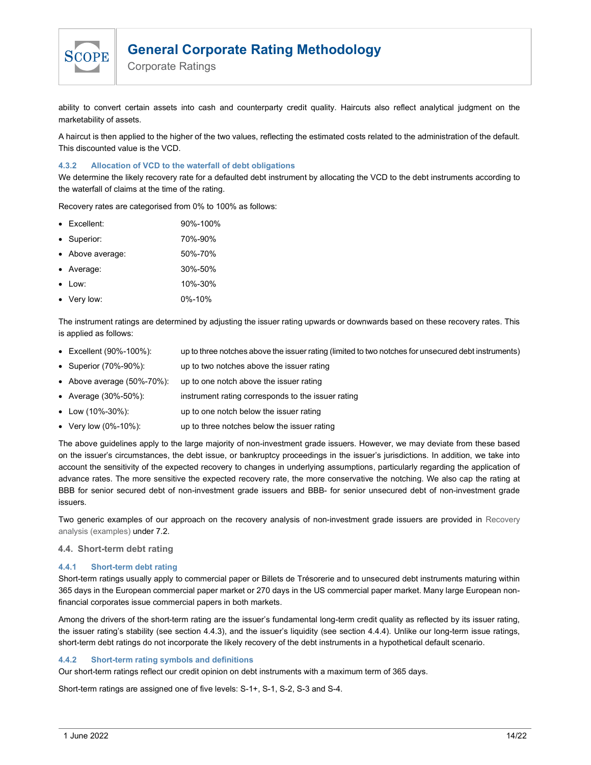

Corporate Ratings

ability to convert certain assets into cash and counterparty credit quality. Haircuts also reflect analytical judgment on the marketability of assets.

A haircut is then applied to the higher of the two values, reflecting the estimated costs related to the administration of the default. This discounted value is the VCD.

### 4.3.2 Allocation of VCD to the waterfall of debt obligations

We determine the likely recovery rate for a defaulted debt instrument by allocating the VCD to the debt instruments according to the waterfall of claims at the time of the rating.

Recovery rates are categorised from 0% to 100% as follows:

- Excellent: 90%-100%
- Superior: 70%-90%
- Above average: 50%-70%
- Average: 30%-50%
- Low: 10%-30%
- Very low: 0%-10%

The instrument ratings are determined by adjusting the issuer rating upwards or downwards based on these recovery rates. This is applied as follows:

- Excellent (90%-100%): up to three notches above the issuer rating (limited to two notches for unsecured debt instruments)
- Superior (70%-90%): up to two notches above the issuer rating
- Above average (50%-70%): up to one notch above the issuer rating
- Average (30%-50%): instrument rating corresponds to the issuer rating
- Low (10%-30%): up to one notch below the issuer rating
- Very low (0%-10%): up to three notches below the issuer rating

The above guidelines apply to the large majority of non-investment grade issuers. However, we may deviate from these based on the issuer's circumstances, the debt issue, or bankruptcy proceedings in the issuer's jurisdictions. In addition, we take into account the sensitivity of the expected recovery to changes in underlying assumptions, particularly regarding the application of advance rates. The more sensitive the expected recovery rate, the more conservative the notching. We also cap the rating at BBB for senior secured debt of non-investment grade issuers and BBB- for senior unsecured debt of non-investment grade issuers.

Two generic examples of our approach on the recovery analysis of non-investment grade issuers are provided in Recovery analysis (examples) under 7.2.

#### 4.4. Short-term debt rating

#### 4.4.1 Short-term debt rating

Short-term ratings usually apply to commercial paper or Billets de Trésorerie and to unsecured debt instruments maturing within 365 days in the European commercial paper market or 270 days in the US commercial paper market. Many large European nonfinancial corporates issue commercial papers in both markets.

Among the drivers of the short-term rating are the issuer's fundamental long-term credit quality as reflected by its issuer rating, the issuer rating's stability (see section 4.4.3), and the issuer's liquidity (see section 4.4.4). Unlike our long-term issue ratings, short-term debt ratings do not incorporate the likely recovery of the debt instruments in a hypothetical default scenario.

#### 4.4.2 Short-term rating symbols and definitions

Our short-term ratings reflect our credit opinion on debt instruments with a maximum term of 365 days.

Short-term ratings are assigned one of five levels: S-1+, S-1, S-2, S-3 and S-4.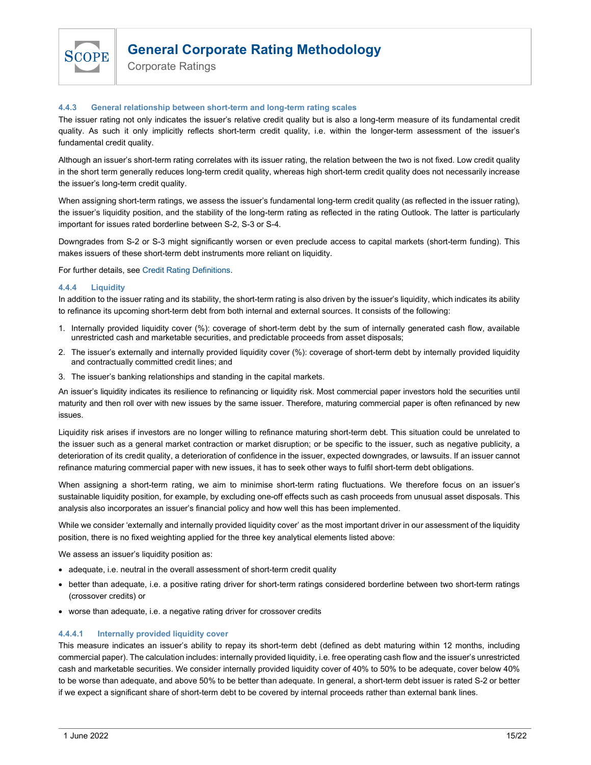

Corporate Ratings

### 4.4.3 General relationship between short-term and long-term rating scales

The issuer rating not only indicates the issuer's relative credit quality but is also a long-term measure of its fundamental credit quality. As such it only implicitly reflects short-term credit quality, i.e. within the longer-term assessment of the issuer's fundamental credit quality.

Although an issuer's short-term rating correlates with its issuer rating, the relation between the two is not fixed. Low credit quality in the short term generally reduces long-term credit quality, whereas high short-term credit quality does not necessarily increase the issuer's long-term credit quality.

When assigning short-term ratings, we assess the issuer's fundamental long-term credit quality (as reflected in the issuer rating), the issuer's liquidity position, and the stability of the long-term rating as reflected in the rating Outlook. The latter is particularly important for issues rated borderline between S-2, S-3 or S-4.

Downgrades from S-2 or S-3 might significantly worsen or even preclude access to capital markets (short-term funding). This makes issuers of these short-term debt instruments more reliant on liquidity.

For further details, see Credit Rating Definitions.

### 4.4.4 Liquidity

In addition to the issuer rating and its stability, the short-term rating is also driven by the issuer's liquidity, which indicates its ability to refinance its upcoming short-term debt from both internal and external sources. It consists of the following:

- 1. Internally provided liquidity cover (%): coverage of short-term debt by the sum of internally generated cash flow, available unrestricted cash and marketable securities, and predictable proceeds from asset disposals;
- 2. The issuer's externally and internally provided liquidity cover (%): coverage of short-term debt by internally provided liquidity and contractually committed credit lines; and
- 3. The issuer's banking relationships and standing in the capital markets.

An issuer's liquidity indicates its resilience to refinancing or liquidity risk. Most commercial paper investors hold the securities until maturity and then roll over with new issues by the same issuer. Therefore, maturing commercial paper is often refinanced by new issues.

Liquidity risk arises if investors are no longer willing to refinance maturing short-term debt. This situation could be unrelated to the issuer such as a general market contraction or market disruption; or be specific to the issuer, such as negative publicity, a deterioration of its credit quality, a deterioration of confidence in the issuer, expected downgrades, or lawsuits. If an issuer cannot refinance maturing commercial paper with new issues, it has to seek other ways to fulfil short-term debt obligations.

When assigning a short-term rating, we aim to minimise short-term rating fluctuations. We therefore focus on an issuer's sustainable liquidity position, for example, by excluding one-off effects such as cash proceeds from unusual asset disposals. This analysis also incorporates an issuer's financial policy and how well this has been implemented.

While we consider 'externally and internally provided liquidity cover' as the most important driver in our assessment of the liquidity position, there is no fixed weighting applied for the three key analytical elements listed above:

We assess an issuer's liquidity position as:

- adequate, i.e. neutral in the overall assessment of short-term credit quality
- better than adequate, i.e. a positive rating driver for short-term ratings considered borderline between two short-term ratings (crossover credits) or
- worse than adequate, i.e. a negative rating driver for crossover credits

## 4.4.4.1 Internally provided liquidity cover

This measure indicates an issuer's ability to repay its short-term debt (defined as debt maturing within 12 months, including commercial paper). The calculation includes: internally provided liquidity, i.e. free operating cash flow and the issuer's unrestricted cash and marketable securities. We consider internally provided liquidity cover of 40% to 50% to be adequate, cover below 40% to be worse than adequate, and above 50% to be better than adequate. In general, a short-term debt issuer is rated S-2 or better if we expect a significant share of short-term debt to be covered by internal proceeds rather than external bank lines.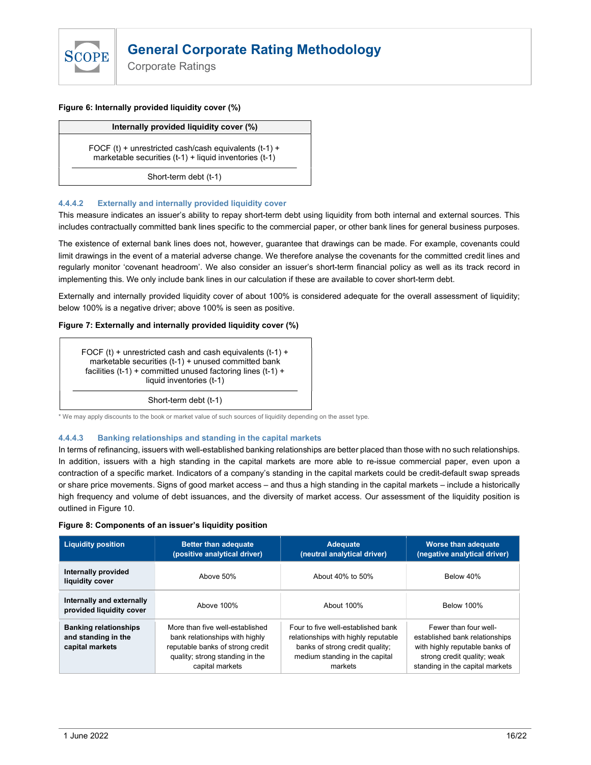

Corporate Ratings

#### Figure 6: Internally provided liquidity cover (%)

#### Internally provided liquidity cover (%)

FOCF (t) + unrestricted cash/cash equivalents  $(t-1)$  + marketable securities (t-1) + liquid inventories (t-1)

Short-term debt (t-1)

## 4.4.4.2 Externally and internally provided liquidity cover

This measure indicates an issuer's ability to repay short-term debt using liquidity from both internal and external sources. This includes contractually committed bank lines specific to the commercial paper, or other bank lines for general business purposes.

The existence of external bank lines does not, however, guarantee that drawings can be made. For example, covenants could limit drawings in the event of a material adverse change. We therefore analyse the covenants for the committed credit lines and regularly monitor 'covenant headroom'. We also consider an issuer's short-term financial policy as well as its track record in implementing this. We only include bank lines in our calculation if these are available to cover short-term debt.

Externally and internally provided liquidity cover of about 100% is considered adequate for the overall assessment of liquidity; below 100% is a negative driver; above 100% is seen as positive.

### Figure 7: Externally and internally provided liquidity cover (%)

FOCF (t) + unrestricted cash and cash equivalents  $(t-1)$  + marketable securities (t-1) + unused committed bank facilities (t-1) + committed unused factoring lines (t-1) + liquid inventories (t-1)

Short-term debt (t-1)

\* We may apply discounts to the book or market value of such sources of liquidity depending on the asset type.

#### 4.4.4.3 Banking relationships and standing in the capital markets

In terms of refinancing, issuers with well-established banking relationships are better placed than those with no such relationships. In addition, issuers with a high standing in the capital markets are more able to re-issue commercial paper, even upon a contraction of a specific market. Indicators of a company's standing in the capital markets could be credit-default swap spreads or share price movements. Signs of good market access – and thus a high standing in the capital markets – include a historically high frequency and volume of debt issuances, and the diversity of market access. Our assessment of the liquidity position is outlined in Figure 10.

#### Figure 8: Components of an issuer's liquidity position

| <b>Liquidity position</b>                                              | <b>Better than adequate</b><br>(positive analytical driver)                                                                                                 | Adequate<br>(neutral analytical driver)                                                                                                                   | <b>Worse than adequate</b><br>(negative analytical driver)                                                                                                  |
|------------------------------------------------------------------------|-------------------------------------------------------------------------------------------------------------------------------------------------------------|-----------------------------------------------------------------------------------------------------------------------------------------------------------|-------------------------------------------------------------------------------------------------------------------------------------------------------------|
| Internally provided<br>liquidity cover                                 | Above 50%                                                                                                                                                   | About 40% to 50%                                                                                                                                          | Below 40%                                                                                                                                                   |
| Internally and externally<br>provided liquidity cover                  | Above 100%                                                                                                                                                  | About 100%                                                                                                                                                | <b>Below 100%</b>                                                                                                                                           |
| <b>Banking relationships</b><br>and standing in the<br>capital markets | More than five well-established<br>bank relationships with highly<br>reputable banks of strong credit<br>quality; strong standing in the<br>capital markets | Four to five well-established bank<br>relationships with highly reputable<br>banks of strong credit quality;<br>medium standing in the capital<br>markets | Fewer than four well-<br>established bank relationships<br>with highly reputable banks of<br>strong credit quality; weak<br>standing in the capital markets |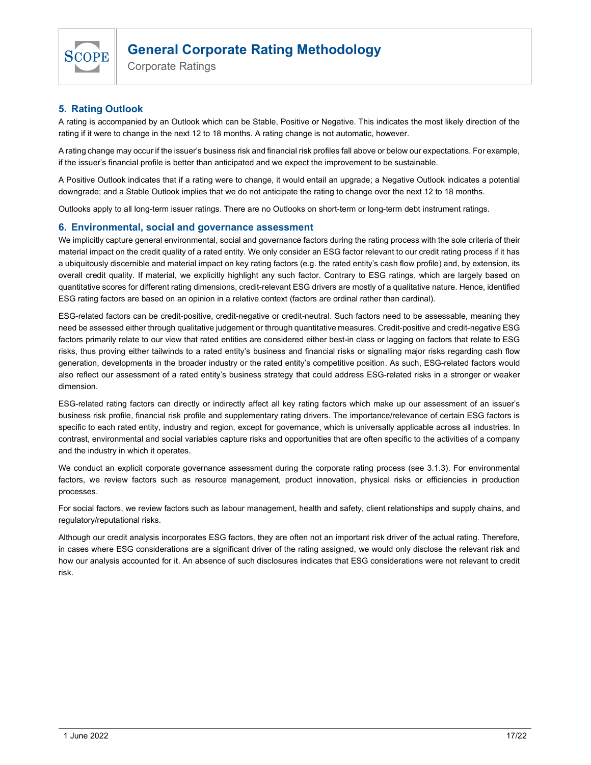

Corporate Ratings

# 5. Rating Outlook

A rating is accompanied by an Outlook which can be Stable, Positive or Negative. This indicates the most likely direction of the rating if it were to change in the next 12 to 18 months. A rating change is not automatic, however.

A rating change may occur if the issuer's business risk and financial risk profiles fall above or below our expectations. For example, if the issuer's financial profile is better than anticipated and we expect the improvement to be sustainable.

A Positive Outlook indicates that if a rating were to change, it would entail an upgrade; a Negative Outlook indicates a potential downgrade; and a Stable Outlook implies that we do not anticipate the rating to change over the next 12 to 18 months.

Outlooks apply to all long-term issuer ratings. There are no Outlooks on short-term or long-term debt instrument ratings.

# 6. Environmental, social and governance assessment

We implicitly capture general environmental, social and governance factors during the rating process with the sole criteria of their material impact on the credit quality of a rated entity. We only consider an ESG factor relevant to our credit rating process if it has a ubiquitously discernible and material impact on key rating factors (e.g. the rated entity's cash flow profile) and, by extension, its overall credit quality. If material, we explicitly highlight any such factor. Contrary to ESG ratings, which are largely based on quantitative scores for different rating dimensions, credit-relevant ESG drivers are mostly of a qualitative nature. Hence, identified ESG rating factors are based on an opinion in a relative context (factors are ordinal rather than cardinal).

ESG-related factors can be credit-positive, credit-negative or credit-neutral. Such factors need to be assessable, meaning they need be assessed either through qualitative judgement or through quantitative measures. Credit-positive and credit-negative ESG factors primarily relate to our view that rated entities are considered either best-in class or lagging on factors that relate to ESG risks, thus proving either tailwinds to a rated entity's business and financial risks or signalling major risks regarding cash flow generation, developments in the broader industry or the rated entity's competitive position. As such, ESG-related factors would also reflect our assessment of a rated entity's business strategy that could address ESG-related risks in a stronger or weaker dimension.

ESG-related rating factors can directly or indirectly affect all key rating factors which make up our assessment of an issuer's business risk profile, financial risk profile and supplementary rating drivers. The importance/relevance of certain ESG factors is specific to each rated entity, industry and region, except for governance, which is universally applicable across all industries. In contrast, environmental and social variables capture risks and opportunities that are often specific to the activities of a company and the industry in which it operates.

We conduct an explicit corporate governance assessment during the corporate rating process (see 3.1.3). For environmental factors, we review factors such as resource management, product innovation, physical risks or efficiencies in production processes.

For social factors, we review factors such as labour management, health and safety, client relationships and supply chains, and regulatory/reputational risks.

Although our credit analysis incorporates ESG factors, they are often not an important risk driver of the actual rating. Therefore, in cases where ESG considerations are a significant driver of the rating assigned, we would only disclose the relevant risk and how our analysis accounted for it. An absence of such disclosures indicates that ESG considerations were not relevant to credit risk.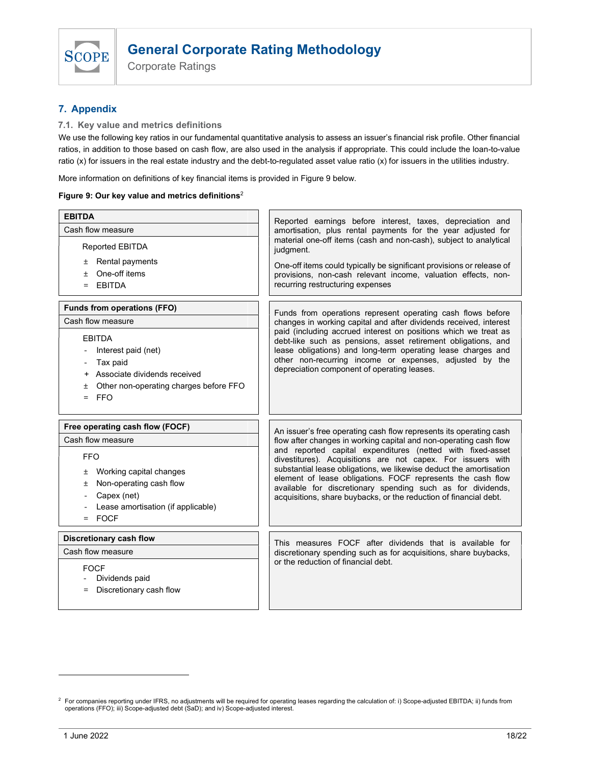

Corporate Ratings

# 7. Appendix

7.1. Key value and metrics definitions

We use the following key ratios in our fundamental quantitative analysis to assess an issuer's financial risk profile. Other financial ratios, in addition to those based on cash flow, are also used in the analysis if appropriate. This could include the loan-to-value ratio (x) for issuers in the real estate industry and the debt-to-regulated asset value ratio (x) for issuers in the utilities industry.

More information on definitions of key financial items is provided in Figure 9 below.

### Figure 9: Our key value and metrics definitions<sup>2</sup>

| <b>EBITDA</b>                                                                                                                                                                                                         | Reported earnings before interest, taxes, depreciation and                                                                                                                                                                                                                                                                                                                                                                                                                                                                                    |
|-----------------------------------------------------------------------------------------------------------------------------------------------------------------------------------------------------------------------|-----------------------------------------------------------------------------------------------------------------------------------------------------------------------------------------------------------------------------------------------------------------------------------------------------------------------------------------------------------------------------------------------------------------------------------------------------------------------------------------------------------------------------------------------|
| Cash flow measure                                                                                                                                                                                                     | amortisation, plus rental payments for the year adjusted for                                                                                                                                                                                                                                                                                                                                                                                                                                                                                  |
| <b>Reported EBITDA</b><br>$±$ Rental payments<br>One-off items<br>$\ddot{}$<br>$=$ EBITDA                                                                                                                             | material one-off items (cash and non-cash), subject to analytical<br>judgment.<br>One-off items could typically be significant provisions or release of<br>provisions, non-cash relevant income, valuation effects, non-<br>recurring restructuring expenses                                                                                                                                                                                                                                                                                  |
| Funds from operations (FFO)<br>Cash flow measure<br><b>EBITDA</b><br>Interest paid (net)<br>Tax paid<br>Associate dividends received<br>$\ddot{}$<br>Other non-operating charges before FFO<br>土<br><b>FFO</b><br>$=$ | Funds from operations represent operating cash flows before<br>changes in working capital and after dividends received, interest<br>paid (including accrued interest on positions which we treat as<br>debt-like such as pensions, asset retirement obligations, and<br>lease obligations) and long-term operating lease charges and<br>other non-recurring income or expenses, adjusted by the<br>depreciation component of operating leases.                                                                                                |
| Free operating cash flow (FOCF)<br>Cash flow measure<br><b>FFO</b><br>Working capital changes<br>Ŧ.<br>Non-operating cash flow<br>土<br>Capex (net)<br>Lease amortisation (if applicable)<br>$=$ FOCF                  | An issuer's free operating cash flow represents its operating cash<br>flow after changes in working capital and non-operating cash flow<br>and reported capital expenditures (netted with fixed-asset<br>divestitures). Acquisitions are not capex. For issuers with<br>substantial lease obligations, we likewise deduct the amortisation<br>element of lease obligations. FOCF represents the cash flow<br>available for discretionary spending such as for dividends,<br>acquisitions, share buybacks, or the reduction of financial debt. |
| Discretionary cash flow<br>Cash flow measure<br><b>FOCF</b><br>Dividends paid<br>Discretionary cash flow                                                                                                              | This measures FOCF after dividends that is available for<br>discretionary spending such as for acquisitions, share buybacks,<br>or the reduction of financial debt.                                                                                                                                                                                                                                                                                                                                                                           |

<sup>&</sup>lt;sup>2</sup> For companies reporting under IFRS, no adjustments will be required for operating leases regarding the calculation of: i) Scope-adjusted EBITDA; ii) funds from operations (FFO); iii) Scope-adjusted debt (SaD); and iv) Scope-adjusted interest.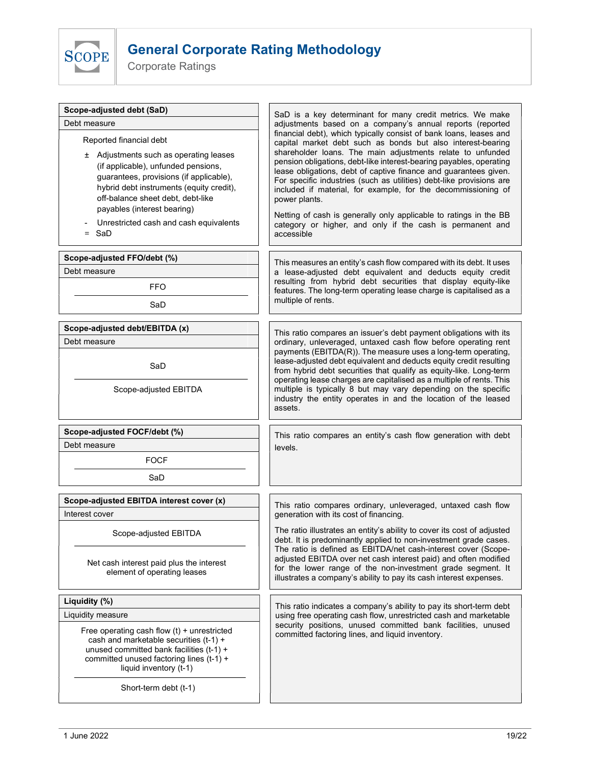

Corporate Ratings

| Scope-adjusted debt (SaD)<br>Debt measure<br>Reported financial debt<br>± Adjustments such as operating leases<br>(if applicable), unfunded pensions,<br>guarantees, provisions (if applicable),<br>hybrid debt instruments (equity credit),<br>off-balance sheet debt, debt-like<br>payables (interest bearing)<br>Unrestricted cash and cash equivalents<br>$=$ SaD | SaD is a key determinant for many credit metrics. We make<br>adjustments based on a company's annual reports (reported<br>financial debt), which typically consist of bank loans, leases and<br>capital market debt such as bonds but also interest-bearing<br>shareholder loans. The main adjustments relate to unfunded<br>pension obligations, debt-like interest-bearing payables, operating<br>lease obligations, debt of captive finance and guarantees given.<br>For specific industries (such as utilities) debt-like provisions are<br>included if material, for example, for the decommissioning of<br>power plants.<br>Netting of cash is generally only applicable to ratings in the BB<br>category or higher, and only if the cash is permanent and<br>accessible                 |
|-----------------------------------------------------------------------------------------------------------------------------------------------------------------------------------------------------------------------------------------------------------------------------------------------------------------------------------------------------------------------|------------------------------------------------------------------------------------------------------------------------------------------------------------------------------------------------------------------------------------------------------------------------------------------------------------------------------------------------------------------------------------------------------------------------------------------------------------------------------------------------------------------------------------------------------------------------------------------------------------------------------------------------------------------------------------------------------------------------------------------------------------------------------------------------|
| Scope-adjusted FFO/debt (%)<br>Debt measure<br><b>FFO</b><br>SaD                                                                                                                                                                                                                                                                                                      | This measures an entity's cash flow compared with its debt. It uses<br>a lease-adjusted debt equivalent and deducts equity credit<br>resulting from hybrid debt securities that display equity-like<br>features. The long-term operating lease charge is capitalised as a<br>multiple of rents.                                                                                                                                                                                                                                                                                                                                                                                                                                                                                                |
| Scope-adjusted debt/EBITDA (x)<br>Debt measure<br>SaD<br>Scope-adjusted EBITDA                                                                                                                                                                                                                                                                                        | This ratio compares an issuer's debt payment obligations with its<br>ordinary, unleveraged, untaxed cash flow before operating rent<br>payments (EBITDA(R)). The measure uses a long-term operating,<br>lease-adjusted debt equivalent and deducts equity credit resulting<br>from hybrid debt securities that qualify as equity-like. Long-term<br>operating lease charges are capitalised as a multiple of rents. This<br>multiple is typically 8 but may vary depending on the specific<br>industry the entity operates in and the location of the leased<br>assets.                                                                                                                                                                                                                        |
| Scope-adjusted FOCF/debt (%)<br>Debt measure<br><b>FOCF</b><br>SaD                                                                                                                                                                                                                                                                                                    | This ratio compares an entity's cash flow generation with debt<br>levels.                                                                                                                                                                                                                                                                                                                                                                                                                                                                                                                                                                                                                                                                                                                      |
| Scope-adjusted EBITDA interest cover (x)<br>Interest cover<br>Scope-adjusted EBITDA<br>Net cash interest paid plus the interest<br>element of operating leases<br>Liquidity (%)<br>Liquidity measure<br>Free operating cash flow $(t)$ + unrestricted<br>cash and marketable securities (t-1) +<br>unused committed bank facilities (t-1) +                           | This ratio compares ordinary, unleveraged, untaxed cash flow<br>generation with its cost of financing.<br>The ratio illustrates an entity's ability to cover its cost of adjusted<br>debt. It is predominantly applied to non-investment grade cases.<br>The ratio is defined as EBITDA/net cash-interest cover (Scope-<br>adjusted EBITDA over net cash interest paid) and often modified<br>for the lower range of the non-investment grade segment. It<br>illustrates a company's ability to pay its cash interest expenses.<br>This ratio indicates a company's ability to pay its short-term debt<br>using free operating cash flow, unrestricted cash and marketable<br>security positions, unused committed bank facilities, unused<br>committed factoring lines, and liquid inventory. |
| committed unused factoring lines (t-1) +<br>liquid inventory (t-1)<br>Short-term debt (t-1)                                                                                                                                                                                                                                                                           |                                                                                                                                                                                                                                                                                                                                                                                                                                                                                                                                                                                                                                                                                                                                                                                                |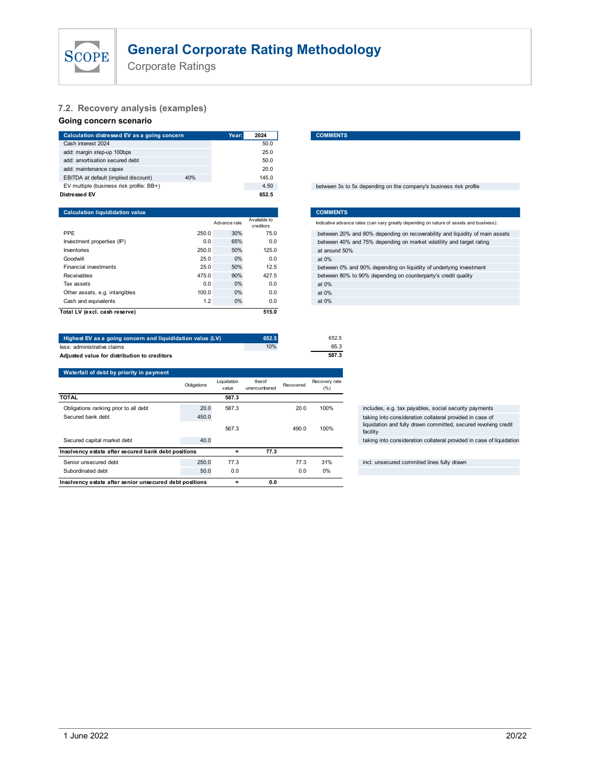

# 7.2. Recovery analysis (examples)

# Going concern scenario

| Indicative advance rates (can vary greatly depending on nature of assets and business): |
|-----------------------------------------------------------------------------------------|
| between 20% and 80% depending on recoverability and liquidity of main assets            |
|                                                                                         |
|                                                                                         |

| <b>General Corporate Rating Methodology</b><br><b>SCOPE</b><br><b>Corporate Ratings</b> |              |                      |                        |           |                       |                                                                                         |
|-----------------------------------------------------------------------------------------|--------------|----------------------|------------------------|-----------|-----------------------|-----------------------------------------------------------------------------------------|
| 7.2. Recovery analysis (examples)<br>Going concern scenario                             |              |                      |                        |           |                       |                                                                                         |
| Calculation distressed EV as a going concern                                            |              | Year:                | 2024                   |           | <b>COMMENTS</b>       |                                                                                         |
| Cash interest 2024                                                                      |              |                      | 50.0                   |           |                       |                                                                                         |
| add: margin step-up 100bps                                                              |              |                      | 25.0                   |           |                       |                                                                                         |
| add: amortisation secured debt                                                          |              |                      | 50.0                   |           |                       |                                                                                         |
| add: maintenance capex                                                                  |              |                      | 20.0                   |           |                       |                                                                                         |
| EBITDA at default (implied discount)                                                    | 40%          |                      | 145.0                  |           |                       |                                                                                         |
| EV multiple (business risk profile: BB+)                                                |              |                      | 4.50                   |           |                       | between 3x to 5x depending on the company's business risk profile                       |
| Distressed EV                                                                           |              |                      | 652.5                  |           |                       |                                                                                         |
| <b>Calculation liquididation value</b>                                                  |              |                      |                        |           | <b>COMMENTS</b>       |                                                                                         |
|                                                                                         |              | Advance rate         | Available to           |           |                       | Indicative advance rates (can vary greatly depending on nature of assets and business): |
|                                                                                         |              |                      | creditors              |           |                       |                                                                                         |
| PPE                                                                                     | 250.0        | 30%                  | 75.0                   |           |                       | between 20% and 80% depending on recoverability and liquidity of main assets            |
| Investment properties (IP)<br>Inventories                                               | 0.0<br>250.0 | 65%<br>50%           | 0.0<br>125.0           |           |                       | between 40% and 75% depending on market volatility and target rating                    |
| Goodwill                                                                                | 25.0         | 0%                   | 0.0                    |           | at around 50%         |                                                                                         |
| <b>Financial investments</b>                                                            | 25.0         | 50%                  | 12.5                   |           | at 0%                 | between 0% and 90% depending on liquidity of underlying investment                      |
| Receivables                                                                             | 475.0        | 90%                  | 427.5                  |           |                       | between 80% to 90% depending on counterparty's credit quality                           |
| Tax assets                                                                              | 0.0          | 0%                   | 0.0                    |           | at 0%                 |                                                                                         |
| Other assets, e.g. intangibles                                                          | 100.0        | 0%                   | 0.0                    |           | at 0%                 |                                                                                         |
| Cash and equivalents                                                                    | 1.2          | 0%                   | 0.0                    |           | at 0%                 |                                                                                         |
| Total LV (excl. cash reserve)                                                           |              |                      | 515.0                  |           |                       |                                                                                         |
|                                                                                         |              |                      |                        |           |                       |                                                                                         |
|                                                                                         |              |                      |                        |           |                       |                                                                                         |
| Highest EV as a going concern and liquididation value (LV)                              |              |                      | 652.5                  |           | 652.5                 |                                                                                         |
| less: administrative claims                                                             |              |                      | 10%                    |           | 65.3                  |                                                                                         |
| Adjusted value for distribution to creditors                                            |              |                      |                        |           | 587.3                 |                                                                                         |
|                                                                                         |              |                      |                        |           |                       |                                                                                         |
| Waterfall of debt by priority in payment                                                |              |                      |                        |           |                       |                                                                                         |
|                                                                                         | Obligations  | Liquidation<br>value | therof<br>unencumbered | Recovered | Recovery rate<br>(% ) |                                                                                         |
| <b>TOTAL</b>                                                                            |              | 587.3                |                        |           |                       |                                                                                         |
|                                                                                         |              |                      |                        |           |                       |                                                                                         |

| Highest EV as a going concern and liquididation value (LV)                                    | 652.5 |
|-----------------------------------------------------------------------------------------------|-------|
| less: administrative claims                                                                   | 10%   |
| the service of the continues of the contract the continues of the contract of the contract of |       |

| add: margin step-up 100bps<br>add: amortisation secured debt<br>add: maintenance capex<br>EBITDA at default (implied discount)<br>EV multiple (business risk profile: BB+)<br>Distressed EV<br><b>Calculation liquididation value</b> | 40%         |                      | 25.0<br>50.0<br>20.0<br>145.0 |                                                                    |                       |                                                                                         |
|---------------------------------------------------------------------------------------------------------------------------------------------------------------------------------------------------------------------------------------|-------------|----------------------|-------------------------------|--------------------------------------------------------------------|-----------------------|-----------------------------------------------------------------------------------------|
|                                                                                                                                                                                                                                       |             |                      |                               |                                                                    |                       |                                                                                         |
|                                                                                                                                                                                                                                       |             |                      |                               |                                                                    |                       |                                                                                         |
|                                                                                                                                                                                                                                       |             |                      |                               |                                                                    |                       |                                                                                         |
|                                                                                                                                                                                                                                       |             |                      |                               |                                                                    |                       |                                                                                         |
|                                                                                                                                                                                                                                       |             |                      | 4.50                          |                                                                    |                       | between 3x to 5x depending on the company's business risk profile                       |
|                                                                                                                                                                                                                                       |             |                      | 652.5                         |                                                                    |                       |                                                                                         |
|                                                                                                                                                                                                                                       |             |                      |                               |                                                                    | <b>COMMENTS</b>       |                                                                                         |
|                                                                                                                                                                                                                                       |             | Advance rate         | Available to<br>creditors     |                                                                    |                       | Indicative advance rates (can vary greatly depending on nature of assets and business): |
| <b>PPE</b>                                                                                                                                                                                                                            | 250.0       | 30%                  | 75.0                          |                                                                    |                       | between 20% and 80% depending on recoverability and liquidity of main assets            |
| Investment properties (IP)                                                                                                                                                                                                            | 0.0         | 65%                  | 0.0                           |                                                                    |                       | between 40% and 75% depending on market volatility and target rating                    |
| Inventories                                                                                                                                                                                                                           | 250.0       | 50%                  | 125.0                         | at around 50%                                                      |                       |                                                                                         |
| Goodwill                                                                                                                                                                                                                              | 25.0        | 0%                   | 0.0                           | at 0%                                                              |                       |                                                                                         |
| Financial investments                                                                                                                                                                                                                 | 25.0        | 50%                  | 12.5                          | between 0% and 90% depending on liquidity of underlying investment |                       |                                                                                         |
| Receivables                                                                                                                                                                                                                           | 475.0       | 90%                  | 427.5                         | between 80% to 90% depending on counterparty's credit quality      |                       |                                                                                         |
| Tax assets                                                                                                                                                                                                                            | 0.0         | 0%                   | 0.0                           |                                                                    | at 0%                 |                                                                                         |
| Other assets, e.g. intangibles                                                                                                                                                                                                        | 100.0       | 0%                   | 0.0                           |                                                                    | at 0%                 |                                                                                         |
| Cash and equivalents                                                                                                                                                                                                                  | 1.2         | 0%                   | 0.0                           |                                                                    | at 0%                 |                                                                                         |
| Total LV (excl. cash reserve)                                                                                                                                                                                                         |             |                      | 515.0                         |                                                                    |                       |                                                                                         |
| Highest EV as a going concern and liquididation value (LV)                                                                                                                                                                            |             |                      | 652.5                         |                                                                    | 652.5                 |                                                                                         |
| less: administrative claims                                                                                                                                                                                                           |             |                      | 10%                           |                                                                    | 65.3                  |                                                                                         |
| Adjusted value for distribution to creditors                                                                                                                                                                                          |             |                      |                               |                                                                    | 587.3                 |                                                                                         |
| Waterfall of debt by priority in payment                                                                                                                                                                                              |             |                      |                               |                                                                    |                       |                                                                                         |
|                                                                                                                                                                                                                                       | Obligations | Liquidation<br>value | therof<br>unencumbered        | Recovered                                                          | Recovery rate<br>(% ) |                                                                                         |
| TOTAL                                                                                                                                                                                                                                 |             | 587.3                |                               |                                                                    |                       |                                                                                         |
| Obligations ranking prior to all debt                                                                                                                                                                                                 | 20.0        | 587.3                |                               | 20.0                                                               | 100%                  | includes, e.g. tax payables, social security payments                                   |
| Secured bank debt                                                                                                                                                                                                                     | 450.0       |                      |                               |                                                                    |                       | taking into consideration collateral provided in case of                                |
|                                                                                                                                                                                                                                       |             | 567.3                |                               | 490.0                                                              | 100%                  | liquidation and fully drawn committed, secured revolving credit<br>facility             |
|                                                                                                                                                                                                                                       |             |                      |                               |                                                                    |                       | taking into consideration collateral provided in case of liquidation                    |
| Secured capital market debt                                                                                                                                                                                                           | 40.0        |                      |                               |                                                                    |                       |                                                                                         |
| Insolvency estate after secured bank debt positions                                                                                                                                                                                   |             | $\equiv$             | 77.3                          |                                                                    |                       |                                                                                         |
| Senior unsecured debt                                                                                                                                                                                                                 | 250.0       | 77.3                 |                               | 77.3                                                               | 31%                   | incl. unsecured commited lines fully drawn                                              |
| Subordinated debt                                                                                                                                                                                                                     | 50.0        | 0.0                  |                               | 0.0                                                                | 0%                    |                                                                                         |
| Insolvency estate after senior unsecured debt positions                                                                                                                                                                               |             | $\equiv$             | 0.0                           |                                                                    |                       |                                                                                         |

#### between 3x to 5x depending on the company's business risk profile

| <b>SCOPE</b>                                               | <b>General Corporate Rating Methodology</b><br><b>Corporate Ratings</b> |             |              |                        |           |                 |                                                                                                                             |
|------------------------------------------------------------|-------------------------------------------------------------------------|-------------|--------------|------------------------|-----------|-----------------|-----------------------------------------------------------------------------------------------------------------------------|
| .2. Recovery analysis (examples)<br>oing concern scenario  |                                                                         |             |              |                        |           |                 |                                                                                                                             |
| Calculation distressed EV as a going concern               |                                                                         |             | Year:        | 2024                   |           | <b>COMMENTS</b> |                                                                                                                             |
| Cash interest 2024                                         |                                                                         |             |              | 50.0                   |           |                 |                                                                                                                             |
| add: margin step-up 100bps                                 |                                                                         |             |              | 25.0                   |           |                 |                                                                                                                             |
| add: amortisation secured debt                             |                                                                         |             |              | 50.0                   |           |                 |                                                                                                                             |
| add: maintenance capex                                     |                                                                         |             |              | 20.0                   |           |                 |                                                                                                                             |
| EBITDA at default (implied discount)                       |                                                                         | 40%         |              | 145.0                  |           |                 |                                                                                                                             |
| EV multiple (business risk profile: BB+)                   |                                                                         |             |              | 4.50                   |           |                 | between 3x to 5x depending on the company's business risk profile                                                           |
| istressed EV                                               |                                                                         |             |              | 652.5                  |           |                 |                                                                                                                             |
|                                                            |                                                                         |             |              |                        |           |                 |                                                                                                                             |
| <b>Calculation liquididation value</b>                     |                                                                         |             |              |                        |           | <b>COMMENTS</b> |                                                                                                                             |
|                                                            |                                                                         |             |              | Available to           |           |                 |                                                                                                                             |
|                                                            |                                                                         |             | Advance rate | creditors              |           |                 | Indicative advance rates (can vary greatly depending on nature of assets and business):                                     |
| PPE                                                        |                                                                         | 250.0       | 30%          | 75.0                   |           |                 | between 20% and 80% depending on recoverability and liquidity of main assets                                                |
| Investment properties (IP)                                 |                                                                         | 0.0         | 65%          | 0.0                    |           |                 | between 40% and 75% depending on market volatility and target rating                                                        |
| Inventories                                                |                                                                         | 250.0       | 50%          | 125.0                  |           | at around 50%   |                                                                                                                             |
| Goodwill                                                   |                                                                         | 25.0        | 0%           | 0.0                    |           | at 0%           |                                                                                                                             |
| Financial investments                                      |                                                                         | 25.0        | 50%          | 12.5                   |           |                 | between 0% and 90% depending on liquidity of underlying investment                                                          |
| Receivables                                                |                                                                         | 475.0       | 90%          | 427.5                  |           |                 | between 80% to 90% depending on counterparty's credit quality                                                               |
| Tax assets                                                 |                                                                         | 0.0         | 0%           | 0.0                    |           | at 0%           |                                                                                                                             |
| Other assets, e.g. intangibles                             |                                                                         | 100.0       | 0%           | 0.0                    |           | at 0%           |                                                                                                                             |
| Cash and equivalents                                       |                                                                         | 1.2         | 0%           | 0.0                    |           | at 0%           |                                                                                                                             |
|                                                            |                                                                         |             |              |                        |           |                 |                                                                                                                             |
| otal LV (excl. cash reserve)                               |                                                                         |             |              | 515.0                  |           |                 |                                                                                                                             |
| Highest EV as a going concern and liquididation value (LV) |                                                                         |             |              | 652.5                  |           | 652.5           |                                                                                                                             |
| ss: administrative claims                                  |                                                                         |             |              | 10%                    |           | 65.3            |                                                                                                                             |
| djusted value for distribution to creditors                |                                                                         |             |              |                        |           | 587.3           |                                                                                                                             |
| Waterfall of debt by priority in payment                   |                                                                         |             |              |                        |           |                 |                                                                                                                             |
|                                                            |                                                                         | Obligations | Liquidation  | therof<br>unencumbered | Recovered | Recovery rate   |                                                                                                                             |
|                                                            |                                                                         |             | value        |                        |           | (%)             |                                                                                                                             |
| OTAL                                                       |                                                                         |             | 587.3        |                        |           |                 |                                                                                                                             |
| Obligations ranking prior to all debt                      |                                                                         | 20.0        | 587.3        |                        | 20.0      | 100%            | includes, e.g. tax payables, social security payments                                                                       |
| Secured bank debt                                          |                                                                         | 450.0       | 567.3        |                        | 490.0     | 100%            | taking into consideration collateral provided in case of<br>liquidation and fully drawn committed, secured revolving credit |
| Secured capital market debt                                |                                                                         | 40.0        |              |                        |           |                 | facility<br>taking into consideration collateral provided in case of liquidation                                            |
| solvency estate after secured bank debt positions          |                                                                         |             | $\equiv$     | 77.3                   |           |                 |                                                                                                                             |
| Senior unsecured debt                                      |                                                                         |             |              |                        |           |                 | incl. unsecured commited lines fully drawn                                                                                  |
|                                                            |                                                                         | 250.0       | 77.3         |                        | 77.3      | 31%             |                                                                                                                             |
| Subordinated debt                                          |                                                                         | 50.0        | 0.0          |                        | 0.0       | 0%              |                                                                                                                             |
| solvency estate after senior unsecured debt positions      |                                                                         |             | $\equiv$     | 0.0                    |           |                 |                                                                                                                             |
|                                                            |                                                                         |             |              |                        |           |                 |                                                                                                                             |

# includes, e.g. tax payables, social security payments taking into consideration collateral provided in case of liquidation and fully drawn committed, secured revolving credit facility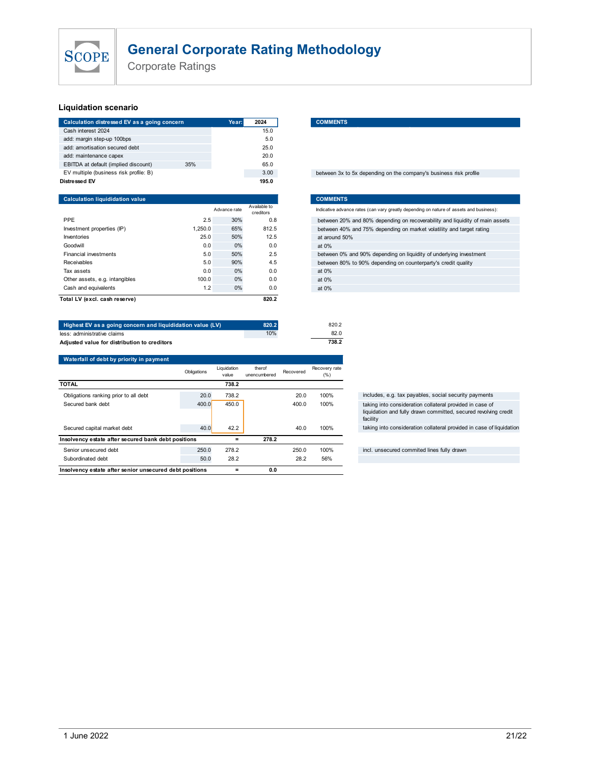

### Liquidation scenario

| SCOPE                                                                          |                          |         |              |                  | <b>General Corporate Rating Methodology</b>                                                                                                          |
|--------------------------------------------------------------------------------|--------------------------|---------|--------------|------------------|------------------------------------------------------------------------------------------------------------------------------------------------------|
|                                                                                | <b>Corporate Ratings</b> |         |              |                  |                                                                                                                                                      |
|                                                                                |                          |         |              |                  |                                                                                                                                                      |
|                                                                                |                          |         |              |                  |                                                                                                                                                      |
| <b>Liquidation scenario</b>                                                    |                          |         |              |                  |                                                                                                                                                      |
|                                                                                |                          |         | Year:        | 2024             | <b>COMMENTS</b>                                                                                                                                      |
|                                                                                |                          |         |              |                  |                                                                                                                                                      |
| Calculation distressed EV as a going concern<br>Cash interest 2024             |                          |         |              | 15.0             |                                                                                                                                                      |
| add: margin step-up 100bps                                                     |                          |         |              | 5.0              |                                                                                                                                                      |
| add: amortisation secured debt                                                 |                          |         |              | 25.0             |                                                                                                                                                      |
| add: maintenance capex                                                         |                          | 35%     |              | 20.0             |                                                                                                                                                      |
| EBITDA at default (implied discount)<br>EV multiple (business risk profile: B) |                          |         |              | 65.0<br>3.00     | between 3x to 5x depending on the company's business risk profile                                                                                    |
| <b>Distressed EV</b>                                                           |                          |         |              | 195.0            |                                                                                                                                                      |
|                                                                                |                          |         |              |                  |                                                                                                                                                      |
| <b>Calculation liquididation value</b>                                         |                          |         | Advance rate | Available to     | <b>COMMENTS</b><br>Indicative advance rates (can vary greatly depending on nature of assets and business):                                           |
| PPE                                                                            |                          | 2.5     | 30%          | creditors<br>0.8 |                                                                                                                                                      |
| Investment properties (IP)                                                     |                          | 1,250.0 | 65%          | 812.5            | between 20% and 80% depending on recoverability and liquidity of main assets<br>between 40% and 75% depending on market volatility and target rating |

| SCOPE                                                      | <b>General Corporate Rating Methodology</b><br><b>Corporate Ratings</b> |             |                      |                        |           |                       |                                                                                         |
|------------------------------------------------------------|-------------------------------------------------------------------------|-------------|----------------------|------------------------|-----------|-----------------------|-----------------------------------------------------------------------------------------|
| <b>Liquidation scenario</b>                                |                                                                         |             |                      |                        |           |                       |                                                                                         |
| Calculation distressed EV as a going concern               |                                                                         |             | Year:                | 2024                   |           | <b>COMMENTS</b>       |                                                                                         |
| Cash interest 2024                                         |                                                                         |             |                      | 15.0                   |           |                       |                                                                                         |
| add: margin step-up 100bps                                 |                                                                         |             |                      | 5.0                    |           |                       |                                                                                         |
| add: amortisation secured debt                             |                                                                         |             |                      | 25.0                   |           |                       |                                                                                         |
| add: maintenance capex                                     |                                                                         |             |                      | 20.0                   |           |                       |                                                                                         |
| EBITDA at default (implied discount)                       |                                                                         | 35%         |                      | 65.0                   |           |                       |                                                                                         |
| EV multiple (business risk profile: B)                     |                                                                         |             |                      | 3.00                   |           |                       | between 3x to 5x depending on the company's business risk profile                       |
| Distressed EV                                              |                                                                         |             |                      | 195.0                  |           |                       |                                                                                         |
| <b>Calculation liquididation value</b>                     |                                                                         |             |                      |                        |           | <b>COMMENTS</b>       |                                                                                         |
|                                                            |                                                                         |             | Advance rate         | Available to           |           |                       | Indicative advance rates (can vary greatly depending on nature of assets and business): |
| PPE                                                        |                                                                         | 2.5         | 30%                  | creditors<br>0.8       |           |                       |                                                                                         |
| Investment properties (IP)                                 |                                                                         | 1,250.0     | 65%                  | 812.5                  |           |                       | between 20% and 80% depending on recoverability and liquidity of main assets            |
| Inventories                                                |                                                                         | 25.0        | 50%                  | 12.5                   |           | at around 50%         | between 40% and 75% depending on market volatility and target rating                    |
| Goodwill                                                   |                                                                         | 0.0         | 0%                   | 0.0                    |           | at 0%                 |                                                                                         |
| Financial investments                                      |                                                                         | 5.0         | 50%                  | 2.5                    |           |                       | between 0% and 90% depending on liquidity of underlying investment                      |
| Receivables                                                |                                                                         | 5.0         | 90%                  | 4.5                    |           |                       | between 80% to 90% depending on counterparty's credit quality                           |
| Tax assets                                                 |                                                                         | 0.0         | 0%                   | 0.0                    |           | at 0%                 |                                                                                         |
| Other assets, e.g. intangibles                             |                                                                         | 100.0       | 0%                   | 0.0                    |           | at 0%                 |                                                                                         |
| Cash and equivalents                                       |                                                                         | 1.2         | 0%                   | 0.0                    |           | at 0%                 |                                                                                         |
| Total LV (excl. cash reserve)                              |                                                                         |             |                      | 820.2                  |           |                       |                                                                                         |
|                                                            |                                                                         |             |                      |                        |           |                       |                                                                                         |
| Highest EV as a going concern and liquididation value (LV) |                                                                         |             |                      | 820.2                  |           | 820.2                 |                                                                                         |
| less: administrative claims                                |                                                                         |             |                      | 10%                    |           | 82.0                  |                                                                                         |
| Adjusted value for distribution to creditors               |                                                                         |             |                      |                        |           | 738.2                 |                                                                                         |
| Waterfall of debt by priority in payment                   |                                                                         |             |                      |                        |           |                       |                                                                                         |
|                                                            |                                                                         | Obligations | Liquidation<br>value | therof<br>unencumbered | Recovered | Recovery rate<br>(% ) |                                                                                         |
| <b>TOTAL</b>                                               |                                                                         |             | 738.2                |                        |           |                       |                                                                                         |
|                                                            |                                                                         |             |                      |                        |           | 10001                 | the policy of a                                                                         |

#### 15.0 5.0

#### between 3x to 5x depending on the company's business risk profile

| <b>General Corporate Rating Methodology</b><br><b>SCOPE</b><br><b>Corporate Ratings</b><br>iquidation scenario<br>Calculation distressed EV as a going concern<br><b>COMMENTS</b><br>2024<br>Year:<br>Cash interest 2024<br>15.0<br>add: margin step-up 100bps<br>5.0<br>add: amortisation secured debt<br>25.0<br>add: maintenance capex<br>20.0<br>EBITDA at default (implied discount)<br>35%<br>65.0<br>EV multiple (business risk profile: B)<br>3.00<br>between 3x to 5x depending on the company's business risk profile<br>istressed EV<br>195.0<br><b>Calculation liquididation value</b><br><b>COMMENTS</b><br>Available to<br>Indicative advance rates (can vary greatly depending on nature of assets and business):<br>Advance rate<br>creditors<br>PPE<br>2.5<br>30%<br>0.8<br>between 20% and 80% depending on recoverability and liquidity of main assets<br>1,250.0<br>65%<br>812.5<br>Investment properties (IP)<br>between 40% and 75% depending on market volatility and target rating<br>25.0<br>50%<br>12.5<br>at around 50%<br>Inventories<br>0%<br>Goodwill<br>0.0<br>0.0<br>at 0%<br>2.5<br>Financial investments<br>5.0<br>50%<br>between 0% and 90% depending on liquidity of underlying investment<br>Receivables<br>5.0<br>4.5<br>90%<br>between 80% to 90% depending on counterparty's credit quality<br>Tax assets<br>0.0<br>0%<br>0.0<br>at 0% |                                |       |    |     |       |
|--------------------------------------------------------------------------------------------------------------------------------------------------------------------------------------------------------------------------------------------------------------------------------------------------------------------------------------------------------------------------------------------------------------------------------------------------------------------------------------------------------------------------------------------------------------------------------------------------------------------------------------------------------------------------------------------------------------------------------------------------------------------------------------------------------------------------------------------------------------------------------------------------------------------------------------------------------------------------------------------------------------------------------------------------------------------------------------------------------------------------------------------------------------------------------------------------------------------------------------------------------------------------------------------------------------------------------------------------------------------------------|--------------------------------|-------|----|-----|-------|
|                                                                                                                                                                                                                                                                                                                                                                                                                                                                                                                                                                                                                                                                                                                                                                                                                                                                                                                                                                                                                                                                                                                                                                                                                                                                                                                                                                                |                                |       |    |     |       |
|                                                                                                                                                                                                                                                                                                                                                                                                                                                                                                                                                                                                                                                                                                                                                                                                                                                                                                                                                                                                                                                                                                                                                                                                                                                                                                                                                                                |                                |       |    |     |       |
|                                                                                                                                                                                                                                                                                                                                                                                                                                                                                                                                                                                                                                                                                                                                                                                                                                                                                                                                                                                                                                                                                                                                                                                                                                                                                                                                                                                |                                |       |    |     |       |
|                                                                                                                                                                                                                                                                                                                                                                                                                                                                                                                                                                                                                                                                                                                                                                                                                                                                                                                                                                                                                                                                                                                                                                                                                                                                                                                                                                                |                                |       |    |     |       |
|                                                                                                                                                                                                                                                                                                                                                                                                                                                                                                                                                                                                                                                                                                                                                                                                                                                                                                                                                                                                                                                                                                                                                                                                                                                                                                                                                                                |                                |       |    |     |       |
|                                                                                                                                                                                                                                                                                                                                                                                                                                                                                                                                                                                                                                                                                                                                                                                                                                                                                                                                                                                                                                                                                                                                                                                                                                                                                                                                                                                |                                |       |    |     |       |
|                                                                                                                                                                                                                                                                                                                                                                                                                                                                                                                                                                                                                                                                                                                                                                                                                                                                                                                                                                                                                                                                                                                                                                                                                                                                                                                                                                                |                                |       |    |     |       |
|                                                                                                                                                                                                                                                                                                                                                                                                                                                                                                                                                                                                                                                                                                                                                                                                                                                                                                                                                                                                                                                                                                                                                                                                                                                                                                                                                                                |                                |       |    |     |       |
|                                                                                                                                                                                                                                                                                                                                                                                                                                                                                                                                                                                                                                                                                                                                                                                                                                                                                                                                                                                                                                                                                                                                                                                                                                                                                                                                                                                |                                |       |    |     |       |
|                                                                                                                                                                                                                                                                                                                                                                                                                                                                                                                                                                                                                                                                                                                                                                                                                                                                                                                                                                                                                                                                                                                                                                                                                                                                                                                                                                                |                                |       |    |     |       |
|                                                                                                                                                                                                                                                                                                                                                                                                                                                                                                                                                                                                                                                                                                                                                                                                                                                                                                                                                                                                                                                                                                                                                                                                                                                                                                                                                                                |                                |       |    |     |       |
|                                                                                                                                                                                                                                                                                                                                                                                                                                                                                                                                                                                                                                                                                                                                                                                                                                                                                                                                                                                                                                                                                                                                                                                                                                                                                                                                                                                |                                |       |    |     |       |
|                                                                                                                                                                                                                                                                                                                                                                                                                                                                                                                                                                                                                                                                                                                                                                                                                                                                                                                                                                                                                                                                                                                                                                                                                                                                                                                                                                                |                                |       |    |     |       |
|                                                                                                                                                                                                                                                                                                                                                                                                                                                                                                                                                                                                                                                                                                                                                                                                                                                                                                                                                                                                                                                                                                                                                                                                                                                                                                                                                                                |                                |       |    |     |       |
|                                                                                                                                                                                                                                                                                                                                                                                                                                                                                                                                                                                                                                                                                                                                                                                                                                                                                                                                                                                                                                                                                                                                                                                                                                                                                                                                                                                |                                |       |    |     |       |
|                                                                                                                                                                                                                                                                                                                                                                                                                                                                                                                                                                                                                                                                                                                                                                                                                                                                                                                                                                                                                                                                                                                                                                                                                                                                                                                                                                                |                                |       |    |     |       |
|                                                                                                                                                                                                                                                                                                                                                                                                                                                                                                                                                                                                                                                                                                                                                                                                                                                                                                                                                                                                                                                                                                                                                                                                                                                                                                                                                                                |                                |       |    |     |       |
|                                                                                                                                                                                                                                                                                                                                                                                                                                                                                                                                                                                                                                                                                                                                                                                                                                                                                                                                                                                                                                                                                                                                                                                                                                                                                                                                                                                |                                |       |    |     |       |
|                                                                                                                                                                                                                                                                                                                                                                                                                                                                                                                                                                                                                                                                                                                                                                                                                                                                                                                                                                                                                                                                                                                                                                                                                                                                                                                                                                                |                                |       |    |     |       |
|                                                                                                                                                                                                                                                                                                                                                                                                                                                                                                                                                                                                                                                                                                                                                                                                                                                                                                                                                                                                                                                                                                                                                                                                                                                                                                                                                                                |                                |       |    |     |       |
|                                                                                                                                                                                                                                                                                                                                                                                                                                                                                                                                                                                                                                                                                                                                                                                                                                                                                                                                                                                                                                                                                                                                                                                                                                                                                                                                                                                |                                | 100.0 | 0% | 0.0 | at 0% |
| 1.2<br>0%<br>Cash and equivalents<br>0.0<br>at 0%                                                                                                                                                                                                                                                                                                                                                                                                                                                                                                                                                                                                                                                                                                                                                                                                                                                                                                                                                                                                                                                                                                                                                                                                                                                                                                                              | Other assets, e.g. intangibles |       |    |     |       |

| add: margin step-up 100bps<br>add: amortisation secured debt |             |                | 5.0                       |           |                 |                                                                                         |
|--------------------------------------------------------------|-------------|----------------|---------------------------|-----------|-----------------|-----------------------------------------------------------------------------------------|
|                                                              |             |                |                           |           |                 |                                                                                         |
|                                                              |             |                | 25.0                      |           |                 |                                                                                         |
| add: maintenance capex                                       |             |                | 20.0                      |           |                 |                                                                                         |
| EBITDA at default (implied discount)                         | 35%         |                | 65.0                      |           |                 |                                                                                         |
| EV multiple (business risk profile: B)                       |             |                | 3.00                      |           |                 | between 3x to 5x depending on the company's business risk profile                       |
| Distressed EV                                                |             |                | 195.0                     |           |                 |                                                                                         |
| <b>Calculation liquididation value</b>                       |             |                |                           |           | <b>COMMENTS</b> |                                                                                         |
|                                                              |             | Advance rate   | Available to<br>creditors |           |                 | Indicative advance rates (can vary greatly depending on nature of assets and business): |
| PPE                                                          | 2.5         | 30%            | 0.8                       |           |                 | between 20% and 80% depending on recoverability and liquidity of main assets            |
| Investment properties (IP)                                   | 1,250.0     | 65%            | 812.5                     |           |                 | between 40% and 75% depending on market volatility and target rating                    |
| Inventories                                                  | 25.0        | 50%            | 12.5                      |           | at around 50%   |                                                                                         |
| Goodwill                                                     | 0.0         | 0%             | 0.0                       |           | at 0%           |                                                                                         |
| Financial investments                                        | 5.0         | 50%            | 2.5                       |           |                 | between 0% and 90% depending on liquidity of underlying investment                      |
| Receivables                                                  | 5.0         | 90%            | 4.5                       |           |                 | between 80% to 90% depending on counterparty's credit quality                           |
| Tax assets                                                   | 0.0         | 0%             | 0.0                       |           | at 0%           |                                                                                         |
| Other assets, e.g. intangibles                               | 100.0       | 0%             | 0.0                       |           | at 0%           |                                                                                         |
| Cash and equivalents                                         | 1.2         | 0%             | 0.0                       |           | at 0%           |                                                                                         |
|                                                              |             |                |                           |           |                 |                                                                                         |
| Total LV (excl. cash reserve)                                |             |                | 820.2                     |           |                 |                                                                                         |
|                                                              |             |                |                           |           |                 |                                                                                         |
|                                                              |             |                |                           |           |                 |                                                                                         |
| Highest EV as a going concern and liquididation value (LV)   |             |                | 820.2                     |           | 820.2           |                                                                                         |
| less: administrative claims                                  |             |                | 10%                       |           | 82.0            |                                                                                         |
| Adjusted value for distribution to creditors                 |             |                |                           |           | 738.2           |                                                                                         |
| Waterfall of debt by priority in payment                     |             |                |                           |           |                 |                                                                                         |
|                                                              | Obligations | Liquidation    | therof                    | Recovered | Recovery rate   |                                                                                         |
| <b>TOTAL</b>                                                 |             | value<br>738.2 | unencumbered              |           | (% )            |                                                                                         |
| Obligations ranking prior to all debt                        | 20.0        | 738.2          |                           | 20.0      | 100%            | includes, e.g. tax payables, social security payments                                   |
| Secured bank debt                                            | 400.0       | 450.0          |                           | 400.0     | 100%            | taking into consideration collateral provided in case of                                |
|                                                              |             |                |                           |           |                 | liquidation and fully drawn committed, secured revolving credit<br>facility             |
| Secured capital market debt                                  | 40.0        | 42.2           |                           | 40.0      | 100%            | taking into consideration collateral provided in case of liquidation                    |
| Insolvency estate after secured bank debt positions          |             | $=$            | 278.2                     |           |                 |                                                                                         |
| Senior unsecured debt                                        | 250.0       | 278.2          |                           | 250.0     | 100%            | incl. unsecured commited lines fully drawn                                              |
| Subordinated debt                                            | 50.0        | 28.2           |                           | 28.2      | 56%             |                                                                                         |
|                                                              |             |                |                           |           |                 |                                                                                         |
|                                                              |             |                |                           |           |                 |                                                                                         |
|                                                              |             |                |                           |           |                 |                                                                                         |
|                                                              |             |                |                           |           |                 |                                                                                         |
|                                                              |             |                |                           |           |                 |                                                                                         |
|                                                              |             |                |                           |           |                 |                                                                                         |
|                                                              |             |                |                           |           |                 |                                                                                         |
|                                                              |             |                |                           |           |                 |                                                                                         |
|                                                              |             |                |                           |           |                 |                                                                                         |